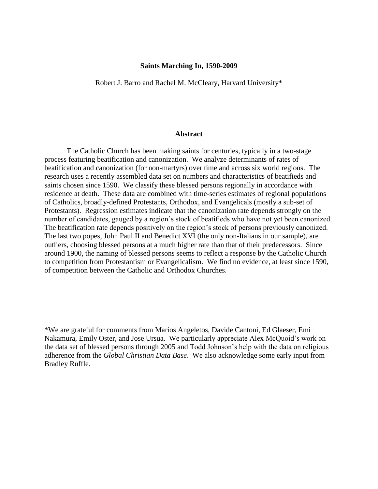#### **Saints Marching In, 1590-2009**

Robert J. Barro and Rachel M. McCleary, Harvard University\*

#### **Abstract**

The Catholic Church has been making saints for centuries, typically in a two-stage process featuring beatification and canonization. We analyze determinants of rates of beatification and canonization (for non-martyrs) over time and across six world regions. The research uses a recently assembled data set on numbers and characteristics of beatifieds and saints chosen since 1590. We classify these blessed persons regionally in accordance with residence at death. These data are combined with time-series estimates of regional populations of Catholics, broadly-defined Protestants, Orthodox, and Evangelicals (mostly a sub-set of Protestants). Regression estimates indicate that the canonization rate depends strongly on the number of candidates, gauged by a region's stock of beatifieds who have not yet been canonized. The beatification rate depends positively on the region's stock of persons previously canonized. The last two popes, John Paul II and Benedict XVI (the only non-Italians in our sample), are outliers, choosing blessed persons at a much higher rate than that of their predecessors. Since around 1900, the naming of blessed persons seems to reflect a response by the Catholic Church to competition from Protestantism or Evangelicalism. We find no evidence, at least since 1590, of competition between the Catholic and Orthodox Churches.

\*We are grateful for comments from Marios Angeletos, Davide Cantoni, Ed Glaeser, Emi Nakamura, Emily Oster, and Jose Ursua. We particularly appreciate Alex McQuoid's work on the data set of blessed persons through 2005 and Todd Johnson's help with the data on religious adherence from the *Global Christian Data Base*. We also acknowledge some early input from Bradley Ruffle.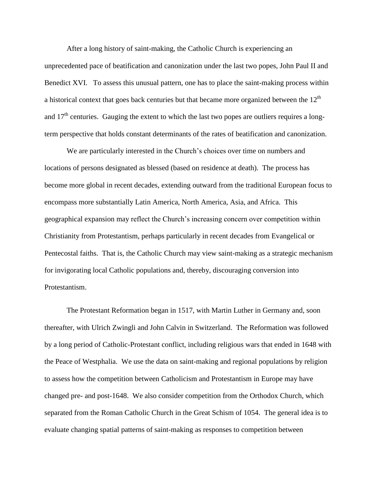After a long history of saint-making, the Catholic Church is experiencing an unprecedented pace of beatification and canonization under the last two popes, John Paul II and Benedict XVI. To assess this unusual pattern, one has to place the saint-making process within a historical context that goes back centuries but that became more organized between the  $12<sup>th</sup>$ and  $17<sup>th</sup>$  centuries. Gauging the extent to which the last two popes are outliers requires a longterm perspective that holds constant determinants of the rates of beatification and canonization.

We are particularly interested in the Church's choices over time on numbers and locations of persons designated as blessed (based on residence at death). The process has become more global in recent decades, extending outward from the traditional European focus to encompass more substantially Latin America, North America, Asia, and Africa. This geographical expansion may reflect the Church's increasing concern over competition within Christianity from Protestantism, perhaps particularly in recent decades from Evangelical or Pentecostal faiths. That is, the Catholic Church may view saint-making as a strategic mechanism for invigorating local Catholic populations and, thereby, discouraging conversion into Protestantism.

The Protestant Reformation began in 1517, with Martin Luther in Germany and, soon thereafter, with Ulrich Zwingli and John Calvin in Switzerland. The Reformation was followed by a long period of Catholic-Protestant conflict, including religious wars that ended in 1648 with the Peace of Westphalia. We use the data on saint-making and regional populations by religion to assess how the competition between Catholicism and Protestantism in Europe may have changed pre- and post-1648. We also consider competition from the Orthodox Church, which separated from the Roman Catholic Church in the Great Schism of 1054. The general idea is to evaluate changing spatial patterns of saint-making as responses to competition between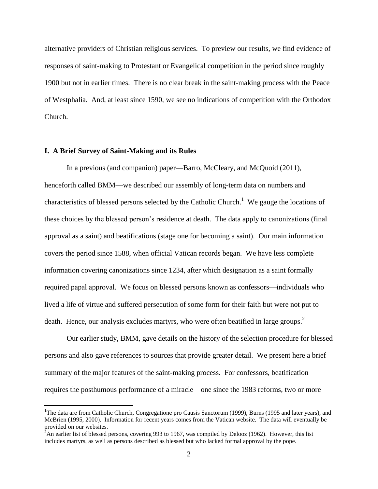alternative providers of Christian religious services. To preview our results, we find evidence of responses of saint-making to Protestant or Evangelical competition in the period since roughly 1900 but not in earlier times. There is no clear break in the saint-making process with the Peace of Westphalia. And, at least since 1590, we see no indications of competition with the Orthodox Church.

#### **I. A Brief Survey of Saint-Making and its Rules**

 $\overline{a}$ 

In a previous (and companion) paper—Barro, McCleary, and McQuoid (2011), henceforth called BMM—we described our assembly of long-term data on numbers and characteristics of blessed persons selected by the Catholic Church.<sup>1</sup> We gauge the locations of these choices by the blessed person's residence at death. The data apply to canonizations (final approval as a saint) and beatifications (stage one for becoming a saint). Our main information covers the period since 1588, when official Vatican records began. We have less complete information covering canonizations since 1234, after which designation as a saint formally required papal approval. We focus on blessed persons known as confessors—individuals who lived a life of virtue and suffered persecution of some form for their faith but were not put to death. Hence, our analysis excludes martyrs, who were often beatified in large groups.<sup>2</sup>

Our earlier study, BMM, gave details on the history of the selection procedure for blessed persons and also gave references to sources that provide greater detail. We present here a brief summary of the major features of the saint-making process. For confessors, beatification requires the posthumous performance of a miracle—one since the 1983 reforms, two or more

<sup>&</sup>lt;sup>1</sup>The data are from Catholic Church, Congregatione pro Causis Sanctorum (1999), Burns (1995 and later years), and McBrien (1995, 2000). Information for recent years comes from the Vatican website. The data will eventually be provided on our websites.

 $^{2}$ An earlier list of blessed persons, covering 993 to 1967, was compiled by Delooz (1962). However, this list includes martyrs, as well as persons described as blessed but who lacked formal approval by the pope.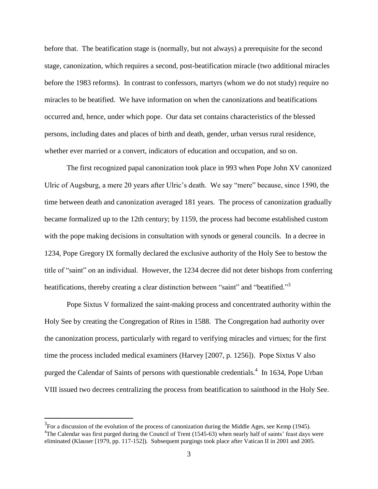before that. The beatification stage is (normally, but not always) a prerequisite for the second stage, canonization, which requires a second, post-beatification miracle (two additional miracles before the 1983 reforms). In contrast to confessors, martyrs (whom we do not study) require no miracles to be beatified. We have information on when the canonizations and beatifications occurred and, hence, under which pope. Our data set contains characteristics of the blessed persons, including dates and places of birth and death, gender, urban versus rural residence, whether ever married or a convert, indicators of education and occupation, and so on.

The first recognized papal canonization took place in 993 when Pope John XV canonized Ulric of Augsburg, a mere 20 years after Ulric's death. We say "mere" because, since 1590, the time between death and canonization averaged 181 years. The process of canonization gradually became formalized up to the 12th century; by 1159, the process had become established custom with the pope making decisions in consultation with synods or general councils. In a decree in 1234, Pope Gregory IX formally declared the exclusive authority of the Holy See to bestow the title of "saint" on an individual. However, the 1234 decree did not deter bishops from conferring beatifications, thereby creating a clear distinction between "saint" and "beatified."<sup>3</sup>

Pope Sixtus V formalized the saint-making process and concentrated authority within the Holy See by creating the Congregation of Rites in 1588. The Congregation had authority over the canonization process, particularly with regard to verifying miracles and virtues; for the first time the process included medical examiners (Harvey [2007, p. 1256]). Pope Sixtus V also purged the Calendar of Saints of persons with questionable credentials.<sup>4</sup> In 1634, Pope Urban VIII issued two decrees centralizing the process from beatification to sainthood in the Holy See.

 $3$ For a discussion of the evolution of the process of canonization during the Middle Ages, see Kemp (1945). <sup>4</sup>The Calendar was first purged during the Council of Trent (1545-63) when nearly half of saints' feast days were eliminated (Klauser [1979, pp. 117-152]). Subsequent purgings took place after Vatican II in 2001 and 2005.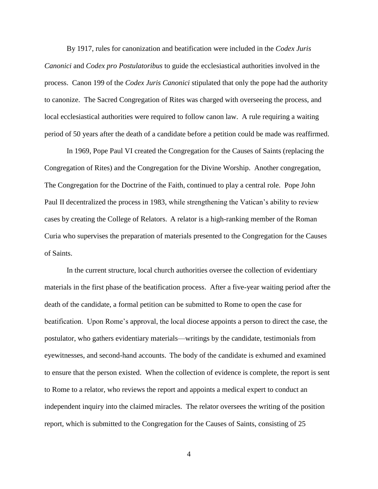By 1917, rules for canonization and beatification were included in the *Codex Juris Canonici* and *Codex pro Postulatoribus* to guide the ecclesiastical authorities involved in the process. Canon 199 of the *Codex Juris Canonici* stipulated that only the pope had the authority to canonize. The Sacred Congregation of Rites was charged with overseeing the process, and local ecclesiastical authorities were required to follow canon law. A rule requiring a waiting period of 50 years after the death of a candidate before a petition could be made was reaffirmed.

In 1969, [Pope Paul VI](http://en.wikipedia.org/wiki/Pope_Paul_VI) created the Congregation for the Causes of Saints (replacing the Congregation of Rites) and the [Congregation for the Divine Worship.](http://en.wikipedia.org/wiki/Congregation_for_Divine_Worship_and_the_Discipline_of_the_Sacraments) Another congregation, The Congregation for the Doctrine of the Faith, continued to play a central role. Pope John Paul II decentralized the process in 1983, while strengthening the Vatican's ability to review cases by creating the College of Relators. A relator is a high-ranking member of the Roman Curia who supervises the preparation of materials presented to the Congregation for the Causes of Saints.

In the current structure, local church authorities oversee the collection of evidentiary materials in the first phase of the beatification process. After a five-year waiting period after the death of the candidate, a formal petition can be submitted to Rome to open the case for beatification. Upon Rome's approval, the local diocese appoints a person to direct the case, the postulator, who gathers evidentiary materials—writings by the candidate, testimonials from eyewitnesses, and second-hand accounts. The body of the candidate is exhumed and examined to ensure that the person existed. When the collection of evidence is complete, the report is sent to Rome to a relator, who reviews the report and appoints a medical expert to conduct an independent inquiry into the claimed miracles. The relator oversees the writing of the position report*,* which is submitted to the Congregation for the Causes of Saints, consisting of 25

4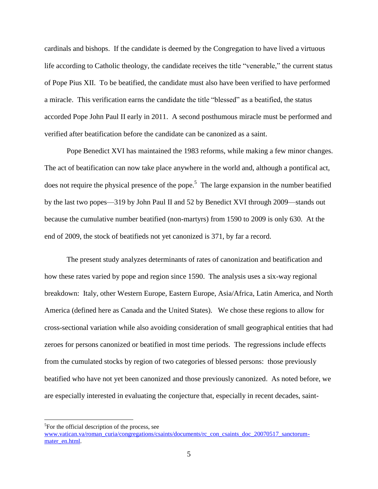cardinals and bishops. If the candidate is deemed by the Congregation to have lived a virtuous life according to Catholic theology, the candidate receives the title "venerable," the current status of Pope Pius XII. To be beatified, the candidate must also have been verified to have performed a miracle. This verification earns the candidate the title "blessed" as a beatified, the status accorded Pope John Paul II early in 2011. A second posthumous miracle must be performed and verified after beatification before the candidate can be canonized as a saint.

Pope Benedict XVI has maintained the 1983 reforms, while making a few minor changes. The act of beatification can now take place anywhere in the world and, although a pontifical act, does not require the physical presence of the pope.<sup>5</sup> The large expansion in the number beatified by the last two popes—319 by John Paul II and 52 by Benedict XVI through 2009—stands out because the cumulative number beatified (non-martyrs) from 1590 to 2009 is only 630. At the end of 2009, the stock of beatifieds not yet canonized is 371, by far a record.

The present study analyzes determinants of rates of canonization and beatification and how these rates varied by pope and region since 1590. The analysis uses a six-way regional breakdown: Italy, other Western Europe, Eastern Europe, Asia/Africa, Latin America, and North America (defined here as Canada and the United States). We chose these regions to allow for cross-sectional variation while also avoiding consideration of small geographical entities that had zeroes for persons canonized or beatified in most time periods. The regressions include effects from the cumulated stocks by region of two categories of blessed persons: those previously beatified who have not yet been canonized and those previously canonized. As noted before, we are especially interested in evaluating the conjecture that, especially in recent decades, saint-

<sup>&</sup>lt;sup>5</sup>For the official description of the process, see [www.vatican.va/roman\\_curia/congregations/csaints/documents/rc\\_con\\_csaints\\_doc\\_20070517\\_sanctorum](http://www.vatican.va/roman_curia/congregations/csaints/documents/rc_con_csaints_doc_20070517_sanctorum-mater_en.html)[mater\\_en.html.](http://www.vatican.va/roman_curia/congregations/csaints/documents/rc_con_csaints_doc_20070517_sanctorum-mater_en.html)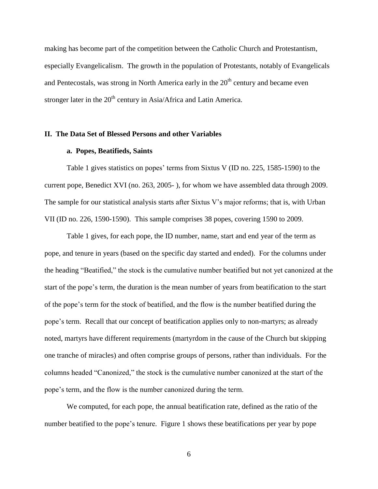making has become part of the competition between the Catholic Church and Protestantism, especially Evangelicalism. The growth in the population of Protestants, notably of Evangelicals and Pentecostals, was strong in North America early in the  $20<sup>th</sup>$  century and became even stronger later in the  $20<sup>th</sup>$  century in Asia/Africa and Latin America.

#### **II. The Data Set of Blessed Persons and other Variables**

#### **a. Popes, Beatifieds, Saints**

Table 1 gives statistics on popes' terms from Sixtus V (ID no. 225, 1585-1590) to the current pope, Benedict XVI (no. 263, 2005- ), for whom we have assembled data through 2009. The sample for our statistical analysis starts after Sixtus V's major reforms; that is, with Urban VII (ID no. 226, 1590-1590). This sample comprises 38 popes, covering 1590 to 2009.

Table 1 gives, for each pope, the ID number, name, start and end year of the term as pope, and tenure in years (based on the specific day started and ended). For the columns under the heading "Beatified," the stock is the cumulative number beatified but not yet canonized at the start of the pope's term, the duration is the mean number of years from beatification to the start of the pope's term for the stock of beatified, and the flow is the number beatified during the pope's term. Recall that our concept of beatification applies only to non-martyrs; as already noted, martyrs have different requirements (martyrdom in the cause of the Church but skipping one tranche of miracles) and often comprise groups of persons, rather than individuals. For the columns headed "Canonized," the stock is the cumulative number canonized at the start of the pope's term, and the flow is the number canonized during the term.

We computed, for each pope, the annual beatification rate, defined as the ratio of the number beatified to the pope's tenure. Figure 1 shows these beatifications per year by pope

6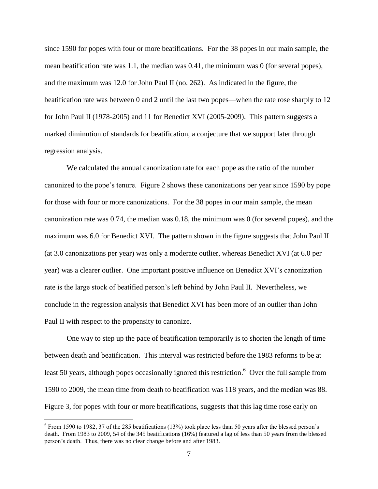since 1590 for popes with four or more beatifications. For the 38 popes in our main sample, the mean beatification rate was 1.1, the median was 0.41, the minimum was 0 (for several popes), and the maximum was 12.0 for John Paul II (no. 262). As indicated in the figure, the beatification rate was between 0 and 2 until the last two popes—when the rate rose sharply to 12 for John Paul II (1978-2005) and 11 for Benedict XVI (2005-2009). This pattern suggests a marked diminution of standards for beatification, a conjecture that we support later through regression analysis.

We calculated the annual canonization rate for each pope as the ratio of the number canonized to the pope's tenure. Figure 2 shows these canonizations per year since 1590 by pope for those with four or more canonizations. For the 38 popes in our main sample, the mean canonization rate was 0.74, the median was 0.18, the minimum was 0 (for several popes), and the maximum was 6.0 for Benedict XVI. The pattern shown in the figure suggests that John Paul II (at 3.0 canonizations per year) was only a moderate outlier, whereas Benedict XVI (at 6.0 per year) was a clearer outlier. One important positive influence on Benedict XVI's canonization rate is the large stock of beatified person's left behind by John Paul II. Nevertheless, we conclude in the regression analysis that Benedict XVI has been more of an outlier than John Paul II with respect to the propensity to canonize.

One way to step up the pace of beatification temporarily is to shorten the length of time between death and beatification. This interval was restricted before the 1983 reforms to be at least 50 years, although popes occasionally ignored this restriction.<sup>6</sup> Over the full sample from 1590 to 2009, the mean time from death to beatification was 118 years, and the median was 88. Figure 3, for popes with four or more beatifications, suggests that this lag time rose early on—

 $6$  From 1590 to 1982, 37 of the 285 beatifications (13%) took place less than 50 years after the blessed person's death. From 1983 to 2009, 54 of the 345 beatifications (16%) featured a lag of less than 50 years from the blessed person's death. Thus, there was no clear change before and after 1983.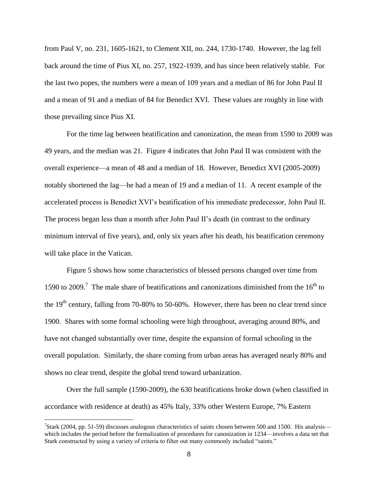from Paul V, no. 231, 1605-1621, to Clement XII, no. 244, 1730-1740. However, the lag fell back around the time of Pius XI, no. 257, 1922-1939, and has since been relatively stable. For the last two popes, the numbers were a mean of 109 years and a median of 86 for John Paul II and a mean of 91 and a median of 84 for Benedict XVI. These values are roughly in line with those prevailing since Pius XI.

For the time lag between beatification and canonization, the mean from 1590 to 2009 was 49 years, and the median was 21. Figure 4 indicates that John Paul II was consistent with the overall experience—a mean of 48 and a median of 18. However, Benedict XVI (2005-2009) notably shortened the lag—he had a mean of 19 and a median of 11. A recent example of the accelerated process is Benedict XVI's beatification of his immediate predecessor, John Paul II. The process began less than a month after John Paul II's death (in contrast to the ordinary minimum interval of five years), and, only six years after his death, his beatification ceremony will take place in the Vatican.

Figure 5 shows how some characteristics of blessed persons changed over time from 1590 to 2009.<sup>7</sup> The male share of beatifications and canonizations diminished from the  $16<sup>th</sup>$  to the  $19<sup>th</sup>$  century, falling from 70-80% to 50-60%. However, there has been no clear trend since 1900. Shares with some formal schooling were high throughout, averaging around 80%, and have not changed substantially over time, despite the expansion of formal schooling in the overall population. Similarly, the share coming from urban areas has averaged nearly 80% and shows no clear trend, despite the global trend toward urbanization.

Over the full sample (1590-2009), the 630 beatifications broke down (when classified in accordance with residence at death) as 45% Italy, 33% other Western Europe, 7% Eastern

<sup>&</sup>lt;sup>7</sup>Stark (2004, pp. 51-59) discusses analogous characteristics of saints chosen between 500 and 1500. His analysis which includes the period before the formalization of procedures for canonization in 1234—involves a data set that Stark constructed by using a variety of criteria to filter out many commonly included "saints."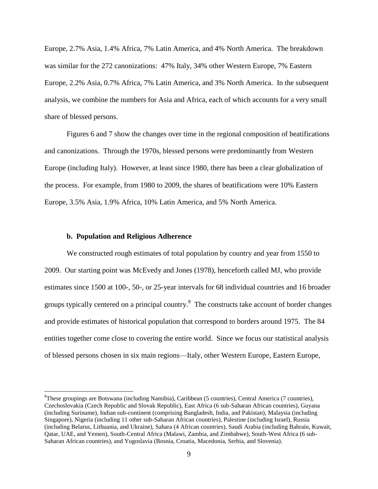Europe, 2.7% Asia, 1.4% Africa, 7% Latin America, and 4% North America. The breakdown was similar for the 272 canonizations: 47% Italy, 34% other Western Europe, 7% Eastern Europe, 2.2% Asia, 0.7% Africa, 7% Latin America, and 3% North America. In the subsequent analysis, we combine the numbers for Asia and Africa, each of which accounts for a very small share of blessed persons.

Figures 6 and 7 show the changes over time in the regional composition of beatifications and canonizations. Through the 1970s, blessed persons were predominantly from Western Europe (including Italy). However, at least since 1980, there has been a clear globalization of the process. For example, from 1980 to 2009, the shares of beatifications were 10% Eastern Europe, 3.5% Asia, 1.9% Africa, 10% Latin America, and 5% North America.

#### **b. Population and Religious Adherence**

 $\overline{a}$ 

We constructed rough estimates of total population by country and year from 1550 to 2009. Our starting point was McEvedy and Jones (1978), henceforth called MJ, who provide estimates since 1500 at 100-, 50-, or 25-year intervals for 68 individual countries and 16 broader groups typically centered on a principal country.<sup>8</sup> The constructs take account of border changes and provide estimates of historical population that correspond to borders around 1975. The 84 entities together come close to covering the entire world. Since we focus our statistical analysis of blessed persons chosen in six main regions—Italy, other Western Europe, Eastern Europe,

<sup>8</sup>These groupings are Botswana (including Namibia), Caribbean (5 countries), Central America (7 countries), Czechoslovakia (Czech Republic and Slovak Republic), East Africa (6 sub-Saharan African countries), Guyana (including Suriname), Indian sub-continent (comprising Bangladesh, India, and Pakistan), Malaysia (including Singapore), Nigeria (including 11 other sub-Saharan African countries), Palestine (including Israel), Russia (including Belarus, Lithuania, and Ukraine), Sahara (4 African countries), Saudi Arabia (including Bahrain, Kuwait, Qatar, UAE, and Yemen), South-Central Africa (Malawi, Zambia, and Zimbabwe), South-West Africa (6 sub-Saharan African countries), and Yugoslavia (Bosnia, Croatia, Macedonia, Serbia, and Slovenia).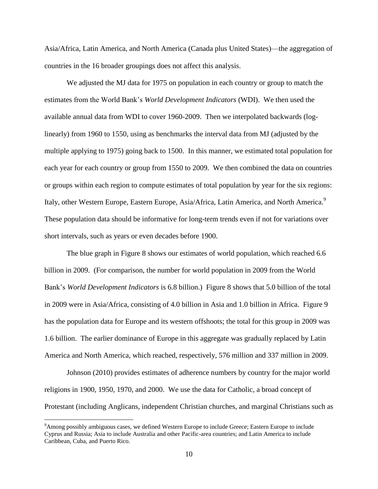Asia/Africa, Latin America, and North America (Canada plus United States)—the aggregation of countries in the 16 broader groupings does not affect this analysis.

We adjusted the MJ data for 1975 on population in each country or group to match the estimates from the World Bank's *World Development Indicators* (WDI). We then used the available annual data from WDI to cover 1960-2009. Then we interpolated backwards (loglinearly) from 1960 to 1550, using as benchmarks the interval data from MJ (adjusted by the multiple applying to 1975) going back to 1500. In this manner, we estimated total population for each year for each country or group from 1550 to 2009. We then combined the data on countries or groups within each region to compute estimates of total population by year for the six regions: Italy, other Western Europe, Eastern Europe, Asia/Africa, Latin America, and North America.<sup>9</sup> These population data should be informative for long-term trends even if not for variations over short intervals, such as years or even decades before 1900.

The blue graph in Figure 8 shows our estimates of world population, which reached 6.6 billion in 2009. (For comparison, the number for world population in 2009 from the World Bank's *World Development Indicators* is 6.8 billion.) Figure 8 shows that 5.0 billion of the total in 2009 were in Asia/Africa, consisting of 4.0 billion in Asia and 1.0 billion in Africa. Figure 9 has the population data for Europe and its western offshoots; the total for this group in 2009 was 1.6 billion. The earlier dominance of Europe in this aggregate was gradually replaced by Latin America and North America, which reached, respectively, 576 million and 337 million in 2009.

Johnson (2010) provides estimates of adherence numbers by country for the major world religions in 1900, 1950, 1970, and 2000. We use the data for Catholic, a broad concept of Protestant (including Anglicans, independent Christian churches, and marginal Christians such as

<sup>9</sup>Among possibly ambiguous cases, we defined Western Europe to include Greece; Eastern Europe to include Cyprus and Russia; Asia to include Australia and other Pacific-area countries; and Latin America to include Caribbean, Cuba, and Puerto Rico.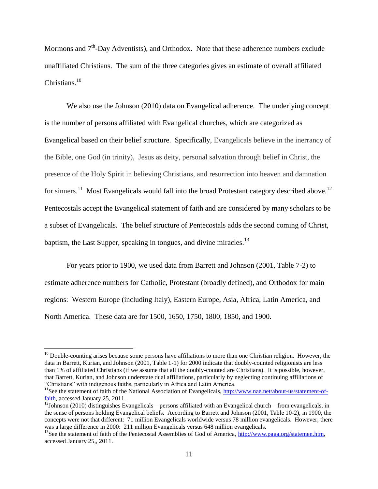Mormons and  $7<sup>th</sup>$ -Day Adventists), and Orthodox. Note that these adherence numbers exclude unaffiliated Christians. The sum of the three categories gives an estimate of overall affiliated Christians. 10

We also use the Johnson (2010) data on Evangelical adherence. The underlying concept is the number of persons affiliated with Evangelical churches, which are categorized as Evangelical based on their belief structure. Specifically, Evangelicals believe in the inerrancy of the Bible, one God (in trinity), Jesus as deity, personal salvation through belief in Christ, the presence of the Holy Spirit in believing Christians, and resurrection into heaven and damnation for sinners.<sup>11</sup> Most Evangelicals would fall into the broad Protestant category described above.<sup>12</sup> Pentecostals accept the Evangelical statement of faith and are considered by many scholars to be a subset of Evangelicals. The belief structure of Pentecostals adds the second coming of Christ, baptism, the Last Supper, speaking in tongues, and divine miracles.<sup>13</sup>

For years prior to 1900, we used data from Barrett and Johnson (2001, Table 7-2) to estimate adherence numbers for Catholic, Protestant (broadly defined), and Orthodox for main regions: Western Europe (including Italy), Eastern Europe, Asia, Africa, Latin America, and North America. These data are for 1500, 1650, 1750, 1800, 1850, and 1900.

 $10$  Double-counting arises because some persons have affiliations to more than one Christian religion. However, the data in Barrett, Kurian, and Johnson (2001, Table 1-1) for 2000 indicate that doubly-counted religionists are less than 1% of affiliated Christians (if we assume that all the doubly-counted are Christians). It is possible, however, that Barrett, Kurian, and Johnson understate dual affiliations, particularly by neglecting continuing affiliations of ―Christians‖ with indigenous faiths, particularly in Africa and Latin America.

<sup>&</sup>lt;sup>11</sup>See the statement of faith of the National Association of Evangelicals, [http://www.nae.net/about-us/statement-of](http://www.nae.net/about-us/statement-of-faith)[faith,](http://www.nae.net/about-us/statement-of-faith) accessed January 25, 2011.

 $\frac{12}{12}$ Johnson (2010) distinguishes Evangelicals—persons affiliated with an Evangelical church—from evangelicals, in the sense of persons holding Evangelical beliefs. According to Barrett and Johnson (2001, Table 10-2), in 1900, the concepts were not that different: 71 million Evangelicals worldwide versus 78 million evangelicals. However, there was a large difference in 2000: 211 million Evangelicals versus 648 million evangelicals.

<sup>&</sup>lt;sup>13</sup>See the statement of faith of the Pentecostal Assemblies of God of America, [http://www.paga.org/statemen.htm,](http://www.paga.org/statemen.htm) accessed January 25,, 2011.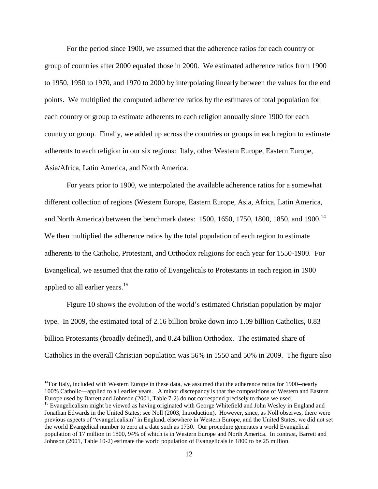For the period since 1900, we assumed that the adherence ratios for each country or group of countries after 2000 equaled those in 2000. We estimated adherence ratios from 1900 to 1950, 1950 to 1970, and 1970 to 2000 by interpolating linearly between the values for the end points. We multiplied the computed adherence ratios by the estimates of total population for each country or group to estimate adherents to each religion annually since 1900 for each country or group. Finally, we added up across the countries or groups in each region to estimate adherents to each religion in our six regions: Italy, other Western Europe, Eastern Europe, Asia/Africa, Latin America, and North America.

For years prior to 1900, we interpolated the available adherence ratios for a somewhat different collection of regions (Western Europe, Eastern Europe, Asia, Africa, Latin America, and North America) between the benchmark dates: 1500, 1650, 1750, 1800, 1850, and 1900.<sup>14</sup> We then multiplied the adherence ratios by the total population of each region to estimate adherents to the Catholic, Protestant, and Orthodox religions for each year for 1550-1900. For Evangelical, we assumed that the ratio of Evangelicals to Protestants in each region in 1900 applied to all earlier years.<sup>15</sup>

Figure 10 shows the evolution of the world's estimated Christian population by major type. In 2009, the estimated total of 2.16 billion broke down into 1.09 billion Catholics, 0.83 billion Protestants (broadly defined), and 0.24 billion Orthodox. The estimated share of Catholics in the overall Christian population was 56% in 1550 and 50% in 2009. The figure also

 $14$ For Italy, included with Western Europe in these data, we assumed that the adherence ratios for 1900--nearly 100% Catholic—applied to all earlier years. A minor discrepancy is that the compositions of Western and Eastern Europe used by Barrett and Johnson (2001, Table 7-2) do not correspond precisely to those we used.

<sup>&</sup>lt;sup>15</sup> Evangelicalism might be viewed as having originated with George Whitefield and John Wesley in England and Jonathan Edwards in the United States; see Noll (2003, Introduction). However, since, as Noll observes, there were previous aspects of "evangelicalism" in England, elsewhere in Western Europe, and the United States, we did not set the world Evangelical number to zero at a date such as 1730. Our procedure generates a world Evangelical population of 17 million in 1800, 94% of which is in Western Europe and North America. In contrast, Barrett and Johnson (2001, Table 10-2) estimate the world population of Evangelicals in 1800 to be 25 million.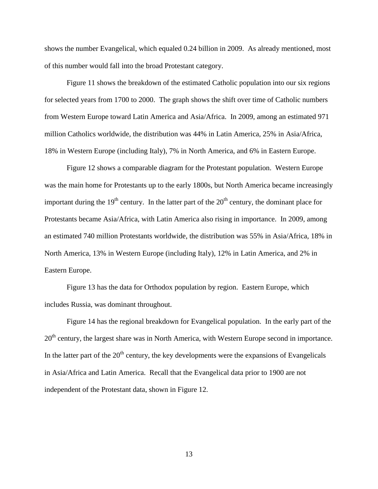shows the number Evangelical, which equaled 0.24 billion in 2009. As already mentioned, most of this number would fall into the broad Protestant category.

Figure 11 shows the breakdown of the estimated Catholic population into our six regions for selected years from 1700 to 2000. The graph shows the shift over time of Catholic numbers from Western Europe toward Latin America and Asia/Africa. In 2009, among an estimated 971 million Catholics worldwide, the distribution was 44% in Latin America, 25% in Asia/Africa, 18% in Western Europe (including Italy), 7% in North America, and 6% in Eastern Europe.

Figure 12 shows a comparable diagram for the Protestant population. Western Europe was the main home for Protestants up to the early 1800s, but North America became increasingly important during the  $19<sup>th</sup>$  century. In the latter part of the  $20<sup>th</sup>$  century, the dominant place for Protestants became Asia/Africa, with Latin America also rising in importance. In 2009, among an estimated 740 million Protestants worldwide, the distribution was 55% in Asia/Africa, 18% in North America, 13% in Western Europe (including Italy), 12% in Latin America, and 2% in Eastern Europe.

Figure 13 has the data for Orthodox population by region. Eastern Europe, which includes Russia, was dominant throughout.

Figure 14 has the regional breakdown for Evangelical population. In the early part of the 20<sup>th</sup> century, the largest share was in North America, with Western Europe second in importance. In the latter part of the  $20<sup>th</sup>$  century, the key developments were the expansions of Evangelicals in Asia/Africa and Latin America. Recall that the Evangelical data prior to 1900 are not independent of the Protestant data, shown in Figure 12.

13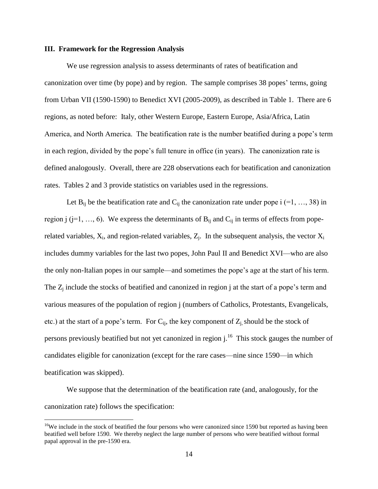#### **III. Framework for the Regression Analysis**

We use regression analysis to assess determinants of rates of beatification and canonization over time (by pope) and by region. The sample comprises 38 popes' terms, going from Urban VII (1590-1590) to Benedict XVI (2005-2009), as described in Table 1. There are 6 regions, as noted before: Italy, other Western Europe, Eastern Europe, Asia/Africa, Latin America, and North America. The beatification rate is the number beatified during a pope's term in each region, divided by the pope's full tenure in office (in years). The canonization rate is defined analogously. Overall, there are 228 observations each for beatification and canonization rates. Tables 2 and 3 provide statistics on variables used in the regressions.

Let  $B_{ii}$  be the beatification rate and  $C_{ii}$  the canonization rate under pope i (=1, ..., 38) in region j (j=1, ..., 6). We express the determinants of  $B_{ij}$  and  $C_{ij}$  in terms of effects from poperelated variables,  $X_i$ , and region-related variables,  $Z_i$ . In the subsequent analysis, the vector  $X_i$ includes dummy variables for the last two popes, John Paul II and Benedict XVI—who are also the only non-Italian popes in our sample—and sometimes the pope's age at the start of his term. The  $Z_i$  include the stocks of beatified and canonized in region j at the start of a pope's term and various measures of the population of region j (numbers of Catholics, Protestants, Evangelicals, etc.) at the start of a pope's term. For  $C_{ii}$ , the key component of  $Z_i$ , should be the stock of persons previously beatified but not yet canonized in region  $j<sup>16</sup>$ . This stock gauges the number of candidates eligible for canonization (except for the rare cases—nine since 1590—in which beatification was skipped).

We suppose that the determination of the beatification rate (and, analogously, for the canonization rate) follows the specification:

<sup>&</sup>lt;sup>16</sup>We include in the stock of beatified the four persons who were canonized since 1590 but reported as having been beatified well before 1590. We thereby neglect the large number of persons who were beatified without formal papal approval in the pre-1590 era.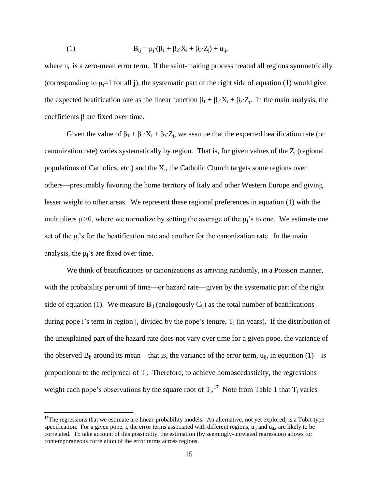(1) 
$$
B_{ij} = \mu_j \cdot (\beta_1 + \beta_2 \cdot X_i + \beta_3 \cdot Z_j) + u_{ij},
$$

where  $u_{ii}$  is a zero-mean error term. If the saint-making process treated all regions symmetrically (corresponding to  $\mu_i=1$  for all j), the systematic part of the right side of equation (1) would give the expected beatification rate as the linear function  $\beta_1 + \beta_2 \cdot X_i + \beta_3 \cdot Z_i$ . In the main analysis, the coefficients β are fixed over time.

Given the value of  $\beta_1 + \beta_2 \cdot X_i + \beta_3 \cdot Z_j$ , we assume that the expected beatification rate (or canonization rate) varies systematically by region. That is, for given values of the  $Z_i$  (regional populations of Catholics, etc.) and the  $X_i$ , the Catholic Church targets some regions over others—presumably favoring the home territory of Italy and other Western Europe and giving lesser weight to other areas. We represent these regional preferences in equation (1) with the multipliers  $\mu_i > 0$ , where we normalize by setting the average of the  $\mu_i$ 's to one. We estimate one set of the  $\mu_i$ 's for the beatification rate and another for the canonization rate. In the main analysis, the  $\mu_i$ 's are fixed over time.

We think of beatifications or canonizations as arriving randomly, in a Poisson manner, with the probability per unit of time—or hazard rate—given by the systematic part of the right side of equation (1). We measure  $B_{ij}$  (analogously  $C_{ij}$ ) as the total number of beatifications during pope i's term in region j, divided by the pope's tenure,  $T_i$  (in years). If the distribution of the unexplained part of the hazard rate does not vary over time for a given pope, the variance of the observed  $B_{ij}$  around its mean—that is, the variance of the error term,  $u_{ij}$ , in equation (1)—is proportional to the reciprocal of  $T_i$ . Therefore, to achieve homoscedasticity, the regressions weight each pope's observations by the square root of  $T_i$ .<sup>17</sup> Note from Table 1 that  $T_i$  varies

 $17$ The regressions that we estimate are linear-probability models. An alternative, not yet explored, is a Tobit-type specification. For a given pope, i, the error terms associated with different regions,  $u_{ii}$  and  $u_{ik}$ , are likely to be correlated. To take account of this possibility, the estimation (by seemingly-unrelated regression) allows for contemporaneous correlation of the error terms across regions.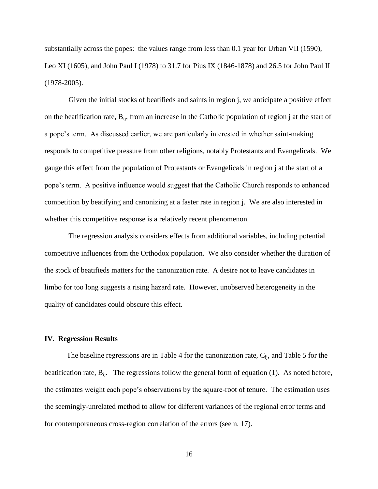substantially across the popes: the values range from less than 0.1 year for Urban VII (1590), Leo XI (1605), and John Paul I (1978) to 31.7 for Pius IX (1846-1878) and 26.5 for John Paul II (1978-2005).

Given the initial stocks of beatifieds and saints in region j, we anticipate a positive effect on the beatification rate,  $B_{ij}$ , from an increase in the Catholic population of region j at the start of a pope's term. As discussed earlier, we are particularly interested in whether saint-making responds to competitive pressure from other religions, notably Protestants and Evangelicals. We gauge this effect from the population of Protestants or Evangelicals in region j at the start of a pope's term. A positive influence would suggest that the Catholic Church responds to enhanced competition by beatifying and canonizing at a faster rate in region j. We are also interested in whether this competitive response is a relatively recent phenomenon.

The regression analysis considers effects from additional variables, including potential competitive influences from the Orthodox population. We also consider whether the duration of the stock of beatifieds matters for the canonization rate. A desire not to leave candidates in limbo for too long suggests a rising hazard rate. However, unobserved heterogeneity in the quality of candidates could obscure this effect.

#### **IV. Regression Results**

The baseline regressions are in Table 4 for the canonization rate,  $C_{ii}$ , and Table 5 for the beatification rate,  $B_{ii}$ . The regressions follow the general form of equation (1). As noted before, the estimates weight each pope's observations by the square-root of tenure. The estimation uses the seemingly-unrelated method to allow for different variances of the regional error terms and for contemporaneous cross-region correlation of the errors (see n. 17).

16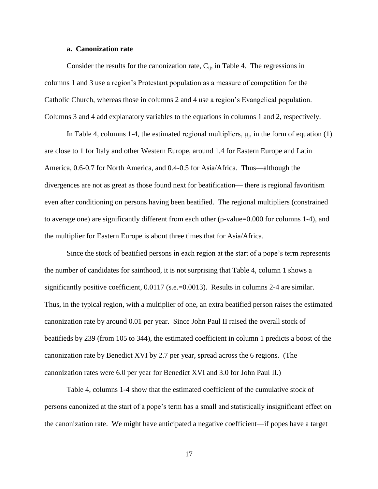#### **a. Canonization rate**

Consider the results for the canonization rate,  $C_{ii}$ , in Table 4. The regressions in columns 1 and 3 use a region's Protestant population as a measure of competition for the Catholic Church, whereas those in columns 2 and 4 use a region's Evangelical population. Columns 3 and 4 add explanatory variables to the equations in columns 1 and 2, respectively.

In Table 4, columns 1-4, the estimated regional multipliers,  $\mu_j$ , in the form of equation (1) are close to 1 for Italy and other Western Europe, around 1.4 for Eastern Europe and Latin America, 0.6-0.7 for North America, and 0.4-0.5 for Asia/Africa. Thus—although the divergences are not as great as those found next for beatification— there is regional favoritism even after conditioning on persons having been beatified. The regional multipliers (constrained to average one) are significantly different from each other (p-value=0.000 for columns 1-4), and the multiplier for Eastern Europe is about three times that for Asia/Africa.

Since the stock of beatified persons in each region at the start of a pope's term represents the number of candidates for sainthood, it is not surprising that Table 4, column 1 shows a significantly positive coefficient, 0.0117 (s.e.=0.0013). Results in columns 2-4 are similar. Thus, in the typical region, with a multiplier of one, an extra beatified person raises the estimated canonization rate by around 0.01 per year. Since John Paul II raised the overall stock of beatifieds by 239 (from 105 to 344), the estimated coefficient in column 1 predicts a boost of the canonization rate by Benedict XVI by 2.7 per year, spread across the 6 regions. (The canonization rates were 6.0 per year for Benedict XVI and 3.0 for John Paul II.)

Table 4, columns 1-4 show that the estimated coefficient of the cumulative stock of persons canonized at the start of a pope's term has a small and statistically insignificant effect on the canonization rate. We might have anticipated a negative coefficient—if popes have a target

17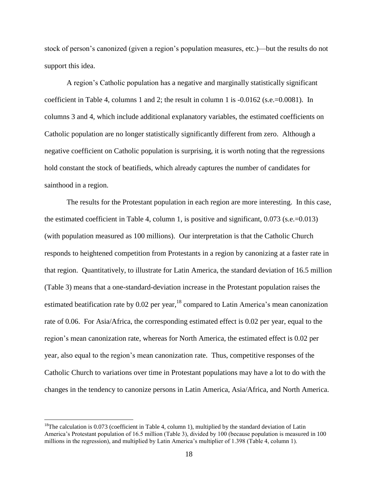stock of person's canonized (given a region's population measures, etc.)—but the results do not support this idea.

A region's Catholic population has a negative and marginally statistically significant coefficient in Table 4, columns 1 and 2; the result in column 1 is  $-0.0162$  (s.e.=0.0081). In columns 3 and 4, which include additional explanatory variables, the estimated coefficients on Catholic population are no longer statistically significantly different from zero. Although a negative coefficient on Catholic population is surprising, it is worth noting that the regressions hold constant the stock of beatifieds, which already captures the number of candidates for sainthood in a region.

The results for the Protestant population in each region are more interesting. In this case, the estimated coefficient in Table 4, column 1, is positive and significant, 0.073 (s.e.=0.013) (with population measured as 100 millions). Our interpretation is that the Catholic Church responds to heightened competition from Protestants in a region by canonizing at a faster rate in that region. Quantitatively, to illustrate for Latin America, the standard deviation of 16.5 million (Table 3) means that a one-standard-deviation increase in the Protestant population raises the estimated beatification rate by  $0.02$  per year, <sup>18</sup> compared to Latin America's mean canonization rate of 0.06. For Asia/Africa, the corresponding estimated effect is 0.02 per year, equal to the region's mean canonization rate, whereas for North America, the estimated effect is 0.02 per year, also equal to the region's mean canonization rate. Thus, competitive responses of the Catholic Church to variations over time in Protestant populations may have a lot to do with the changes in the tendency to canonize persons in Latin America, Asia/Africa, and North America.

<sup>&</sup>lt;sup>18</sup>The calculation is 0.073 (coefficient in Table 4, column 1), multiplied by the standard deviation of Latin America's Protestant population of 16.5 million (Table 3), divided by 100 (because population is measured in 100 millions in the regression), and multiplied by Latin America's multiplier of 1.398 (Table 4, column 1).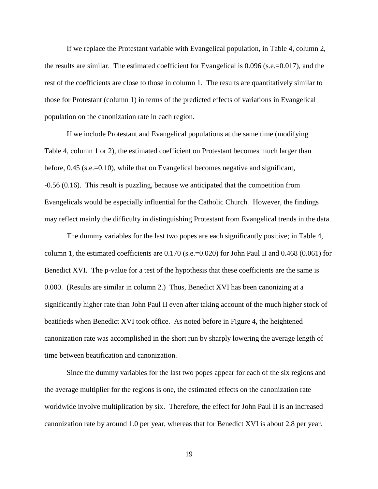If we replace the Protestant variable with Evangelical population, in Table 4, column 2, the results are similar. The estimated coefficient for Evangelical is 0.096 (s.e.=0.017), and the rest of the coefficients are close to those in column 1. The results are quantitatively similar to those for Protestant (column 1) in terms of the predicted effects of variations in Evangelical population on the canonization rate in each region.

If we include Protestant and Evangelical populations at the same time (modifying Table 4, column 1 or 2), the estimated coefficient on Protestant becomes much larger than before, 0.45 (s.e.=0.10), while that on Evangelical becomes negative and significant, -0.56 (0.16). This result is puzzling, because we anticipated that the competition from Evangelicals would be especially influential for the Catholic Church. However, the findings may reflect mainly the difficulty in distinguishing Protestant from Evangelical trends in the data.

The dummy variables for the last two popes are each significantly positive; in Table 4, column 1, the estimated coefficients are 0.170 (s.e.=0.020) for John Paul II and 0.468 (0.061) for Benedict XVI. The p-value for a test of the hypothesis that these coefficients are the same is 0.000. (Results are similar in column 2.) Thus, Benedict XVI has been canonizing at a significantly higher rate than John Paul II even after taking account of the much higher stock of beatifieds when Benedict XVI took office. As noted before in Figure 4, the heightened canonization rate was accomplished in the short run by sharply lowering the average length of time between beatification and canonization.

Since the dummy variables for the last two popes appear for each of the six regions and the average multiplier for the regions is one, the estimated effects on the canonization rate worldwide involve multiplication by six. Therefore, the effect for John Paul II is an increased canonization rate by around 1.0 per year, whereas that for Benedict XVI is about 2.8 per year.

19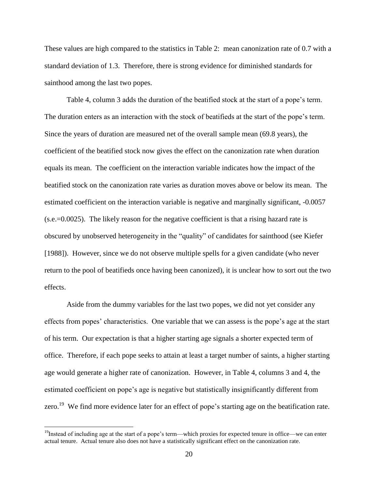These values are high compared to the statistics in Table 2: mean canonization rate of 0.7 with a standard deviation of 1.3. Therefore, there is strong evidence for diminished standards for sainthood among the last two popes.

Table 4, column 3 adds the duration of the beatified stock at the start of a pope's term. The duration enters as an interaction with the stock of beatifieds at the start of the pope's term. Since the years of duration are measured net of the overall sample mean (69.8 years), the coefficient of the beatified stock now gives the effect on the canonization rate when duration equals its mean. The coefficient on the interaction variable indicates how the impact of the beatified stock on the canonization rate varies as duration moves above or below its mean. The estimated coefficient on the interaction variable is negative and marginally significant, -0.0057 (s.e.=0.0025). The likely reason for the negative coefficient is that a rising hazard rate is obscured by unobserved heterogeneity in the "quality" of candidates for sainthood (see Kiefer [1988]). However, since we do not observe multiple spells for a given candidate (who never return to the pool of beatifieds once having been canonized), it is unclear how to sort out the two effects.

Aside from the dummy variables for the last two popes, we did not yet consider any effects from popes' characteristics. One variable that we can assess is the pope's age at the start of his term. Our expectation is that a higher starting age signals a shorter expected term of office. Therefore, if each pope seeks to attain at least a target number of saints, a higher starting age would generate a higher rate of canonization. However, in Table 4, columns 3 and 4, the estimated coefficient on pope's age is negative but statistically insignificantly different from zero.<sup>19</sup> We find more evidence later for an effect of pope's starting age on the beatification rate.

 $19$ Instead of including age at the start of a pope's term—which proxies for expected tenure in office—we can enter actual tenure. Actual tenure also does not have a statistically significant effect on the canonization rate.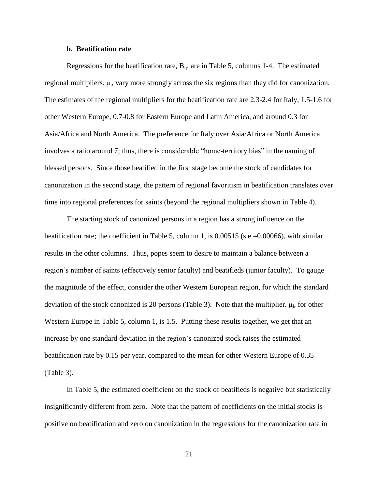#### **b. Beatification rate**

Regressions for the beatification rate,  $B_{ii}$ , are in Table 5, columns 1-4. The estimated regional multipliers,  $\mu_j$ , vary more strongly across the six regions than they did for canonization. The estimates of the regional multipliers for the beatification rate are 2.3-2.4 for Italy, 1.5-1.6 for other Western Europe, 0.7-0.8 for Eastern Europe and Latin America, and around 0.3 for Asia/Africa and North America. The preference for Italy over Asia/Africa or North America involves a ratio around 7; thus, there is considerable "home-territory bias" in the naming of blessed persons. Since those beatified in the first stage become the stock of candidates for canonization in the second stage, the pattern of regional favoritism in beatification translates over time into regional preferences for saints (beyond the regional multipliers shown in Table 4).

The starting stock of canonized persons in a region has a strong influence on the beatification rate; the coefficient in Table 5, column 1, is 0.00515 (s.e.=0.00066), with similar results in the other columns. Thus, popes seem to desire to maintain a balance between a region's number of saints (effectively senior faculty) and beatifieds (junior faculty). To gauge the magnitude of the effect, consider the other Western European region, for which the standard deviation of the stock canonized is 20 persons (Table 3). Note that the multiplier,  $\mu_j$ , for other Western Europe in Table 5, column 1, is 1.5. Putting these results together, we get that an increase by one standard deviation in the region's canonized stock raises the estimated beatification rate by 0.15 per year, compared to the mean for other Western Europe of 0.35 (Table 3).

In Table 5, the estimated coefficient on the stock of beatifieds is negative but statistically insignificantly different from zero. Note that the pattern of coefficients on the initial stocks is positive on beatification and zero on canonization in the regressions for the canonization rate in

21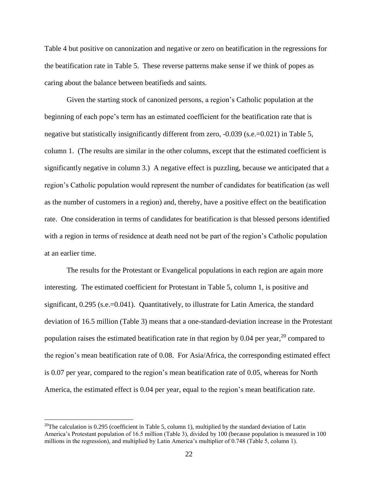Table 4 but positive on canonization and negative or zero on beatification in the regressions for the beatification rate in Table 5. These reverse patterns make sense if we think of popes as caring about the balance between beatifieds and saints.

Given the starting stock of canonized persons, a region's Catholic population at the beginning of each pope's term has an estimated coefficient for the beatification rate that is negative but statistically insignificantly different from zero, -0.039 (s.e.=0.021) in Table 5, column 1. (The results are similar in the other columns, except that the estimated coefficient is significantly negative in column 3.) A negative effect is puzzling, because we anticipated that a region's Catholic population would represent the number of candidates for beatification (as well as the number of customers in a region) and, thereby, have a positive effect on the beatification rate. One consideration in terms of candidates for beatification is that blessed persons identified with a region in terms of residence at death need not be part of the region's Catholic population at an earlier time.

The results for the Protestant or Evangelical populations in each region are again more interesting. The estimated coefficient for Protestant in Table 5, column 1, is positive and significant, 0.295 (s.e.=0.041). Quantitatively, to illustrate for Latin America, the standard deviation of 16.5 million (Table 3) means that a one-standard-deviation increase in the Protestant population raises the estimated beatification rate in that region by 0.04 per year,  $^{20}$  compared to the region's mean beatification rate of 0.08. For Asia/Africa, the corresponding estimated effect is 0.07 per year, compared to the region's mean beatification rate of 0.05, whereas for North America, the estimated effect is 0.04 per year, equal to the region's mean beatification rate.

<sup>&</sup>lt;sup>20</sup>The calculation is 0.295 (coefficient in Table 5, column 1), multiplied by the standard deviation of Latin America's Protestant population of 16.5 million (Table 3), divided by 100 (because population is measured in 100 millions in the regression), and multiplied by Latin America's multiplier of 0.748 (Table 5, column 1).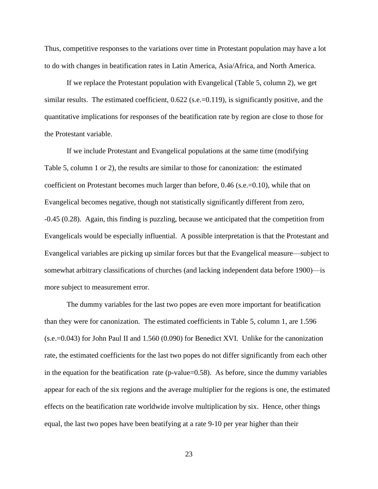Thus, competitive responses to the variations over time in Protestant population may have a lot to do with changes in beatification rates in Latin America, Asia/Africa, and North America.

If we replace the Protestant population with Evangelical (Table 5, column 2), we get similar results. The estimated coefficient, 0.622 (s.e.=0.119), is significantly positive, and the quantitative implications for responses of the beatification rate by region are close to those for the Protestant variable.

If we include Protestant and Evangelical populations at the same time (modifying Table 5, column 1 or 2), the results are similar to those for canonization: the estimated coefficient on Protestant becomes much larger than before, 0.46 (s.e.=0.10), while that on Evangelical becomes negative, though not statistically significantly different from zero, -0.45 (0.28). Again, this finding is puzzling, because we anticipated that the competition from Evangelicals would be especially influential. A possible interpretation is that the Protestant and Evangelical variables are picking up similar forces but that the Evangelical measure—subject to somewhat arbitrary classifications of churches (and lacking independent data before 1900)—is more subject to measurement error.

The dummy variables for the last two popes are even more important for beatification than they were for canonization. The estimated coefficients in Table 5, column 1, are 1.596 (s.e.=0.043) for John Paul II and 1.560 (0.090) for Benedict XVI. Unlike for the canonization rate, the estimated coefficients for the last two popes do not differ significantly from each other in the equation for the beatification rate (p-value=0.58). As before, since the dummy variables appear for each of the six regions and the average multiplier for the regions is one, the estimated effects on the beatification rate worldwide involve multiplication by six. Hence, other things equal, the last two popes have been beatifying at a rate 9-10 per year higher than their

23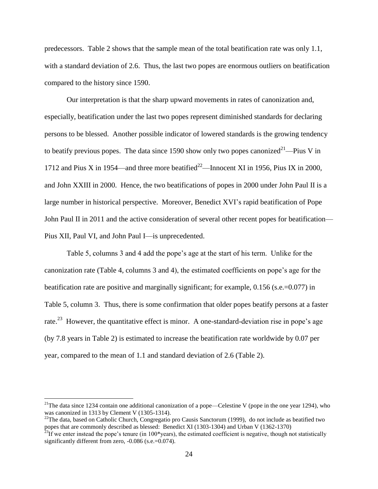predecessors. Table 2 shows that the sample mean of the total beatification rate was only 1.1, with a standard deviation of 2.6. Thus, the last two popes are enormous outliers on beatification compared to the history since 1590.

Our interpretation is that the sharp upward movements in rates of canonization and, especially, beatification under the last two popes represent diminished standards for declaring persons to be blessed. Another possible indicator of lowered standards is the growing tendency to beatify previous popes. The data since 1590 show only two popes canonized<sup>21</sup>—Pius V in 1712 and Pius X in 1954—and three more beatified<sup>22</sup>—Innocent XI in 1956, Pius IX in 2000, and John XXIII in 2000. Hence, the two beatifications of popes in 2000 under John Paul II is a large number in historical perspective. Moreover, Benedict XVI's rapid beatification of Pope John Paul II in 2011 and the active consideration of several other recent popes for beatification— Pius XII, Paul VI, and John Paul I—is unprecedented.

Table 5, columns 3 and 4 add the pope's age at the start of his term. Unlike for the canonization rate (Table 4, columns 3 and 4), the estimated coefficients on pope's age for the beatification rate are positive and marginally significant; for example, 0.156 (s.e.=0.077) in Table 5, column 3. Thus, there is some confirmation that older popes beatify persons at a faster rate.<sup>23</sup> However, the quantitative effect is minor. A one-standard-deviation rise in pope's age (by 7.8 years in Table 2) is estimated to increase the beatification rate worldwide by 0.07 per year, compared to the mean of 1.1 and standard deviation of 2.6 (Table 2).

<sup>&</sup>lt;sup>21</sup>The data since 1234 contain one additional canonization of a pope—Celestine V (pope in the one year 1294), who was canonized in 1313 by Clement V (1305-1314).

<sup>&</sup>lt;sup>22</sup>The data, based on Catholic Church, Congregatio pro Causis Sanctorum (1999), do not include as beatified two popes that are commonly described as blessed: Benedict XI (1303-1304) and Urban V (1362-1370)

 $^{23}$ If we enter instead the pope's tenure (in 100\*years), the estimated coefficient is negative, though not statistically significantly different from zero,  $-0.086$  (s.e.=0.074).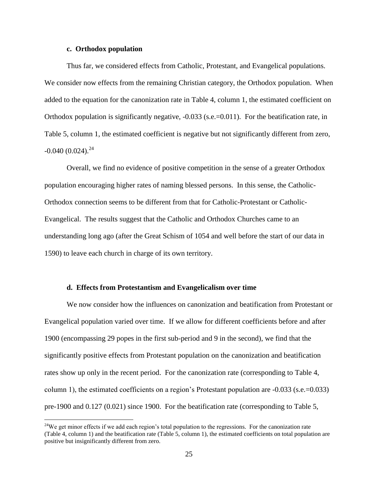#### **c. Orthodox population**

 $\overline{a}$ 

Thus far, we considered effects from Catholic, Protestant, and Evangelical populations. We consider now effects from the remaining Christian category, the Orthodox population. When added to the equation for the canonization rate in Table 4, column 1, the estimated coefficient on Orthodox population is significantly negative, -0.033 (s.e.=0.011). For the beatification rate, in Table 5, column 1, the estimated coefficient is negative but not significantly different from zero,  $-0.040(0.024).^{24}$ 

Overall, we find no evidence of positive competition in the sense of a greater Orthodox population encouraging higher rates of naming blessed persons. In this sense, the Catholic-Orthodox connection seems to be different from that for Catholic-Protestant or Catholic-Evangelical. The results suggest that the Catholic and Orthodox Churches came to an understanding long ago (after the Great Schism of 1054 and well before the start of our data in 1590) to leave each church in charge of its own territory.

#### **d. Effects from Protestantism and Evangelicalism over time**

We now consider how the influences on canonization and beatification from Protestant or Evangelical population varied over time. If we allow for different coefficients before and after 1900 (encompassing 29 popes in the first sub-period and 9 in the second), we find that the significantly positive effects from Protestant population on the canonization and beatification rates show up only in the recent period. For the canonization rate (corresponding to Table 4, column 1), the estimated coefficients on a region's Protestant population are -0.033 (s.e.=0.033) pre-1900 and 0.127 (0.021) since 1900. For the beatification rate (corresponding to Table 5,

<sup>&</sup>lt;sup>24</sup>We get minor effects if we add each region's total population to the regressions. For the canonization rate (Table 4, column 1) and the beatification rate (Table 5, column 1), the estimated coefficients on total population are positive but insignificantly different from zero.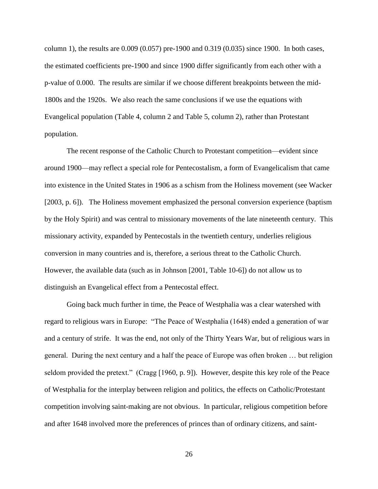column 1), the results are 0.009 (0.057) pre-1900 and 0.319 (0.035) since 1900. In both cases, the estimated coefficients pre-1900 and since 1900 differ significantly from each other with a p-value of 0.000. The results are similar if we choose different breakpoints between the mid-1800s and the 1920s. We also reach the same conclusions if we use the equations with Evangelical population (Table 4, column 2 and Table 5, column 2), rather than Protestant population.

The recent response of the Catholic Church to Protestant competition—evident since around 1900—may reflect a special role for Pentecostalism, a form of Evangelicalism that came into existence in the United States in 1906 as a schism from the Holiness movement (see Wacker [2003, p. 6]). The Holiness movement emphasized the personal conversion experience (baptism by the Holy Spirit) and was central to missionary movements of the late nineteenth century. This missionary activity, expanded by Pentecostals in the twentieth century, underlies religious conversion in many countries and is, therefore, a serious threat to the Catholic Church. However, the available data (such as in Johnson [2001, Table 10-6]) do not allow us to distinguish an Evangelical effect from a Pentecostal effect.

Going back much further in time, the Peace of Westphalia was a clear watershed with regard to religious wars in Europe: "The Peace of Westphalia (1648) ended a generation of war and a century of strife. It was the end, not only of the Thirty Years War, but of religious wars in general. During the next century and a half the peace of Europe was often broken … but religion seldom provided the pretext." (Cragg [1960, p. 9]). However, despite this key role of the Peace of Westphalia for the interplay between religion and politics, the effects on Catholic/Protestant competition involving saint-making are not obvious. In particular, religious competition before and after 1648 involved more the preferences of princes than of ordinary citizens, and saint-

26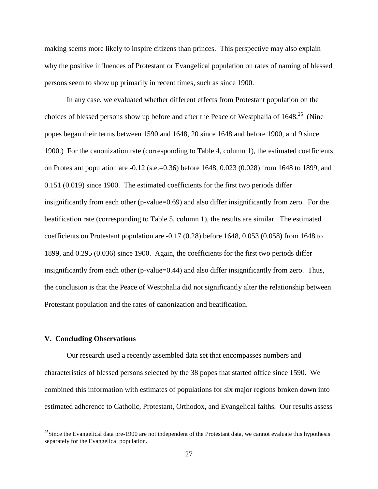making seems more likely to inspire citizens than princes. This perspective may also explain why the positive influences of Protestant or Evangelical population on rates of naming of blessed persons seem to show up primarily in recent times, such as since 1900.

In any case, we evaluated whether different effects from Protestant population on the choices of blessed persons show up before and after the Peace of Westphalia of  $1648$ <sup>25</sup> (Nine popes began their terms between 1590 and 1648, 20 since 1648 and before 1900, and 9 since 1900.) For the canonization rate (corresponding to Table 4, column 1), the estimated coefficients on Protestant population are -0.12 (s.e.=0.36) before 1648, 0.023 (0.028) from 1648 to 1899, and 0.151 (0.019) since 1900. The estimated coefficients for the first two periods differ insignificantly from each other (p-value=0.69) and also differ insignificantly from zero. For the beatification rate (corresponding to Table 5, column 1), the results are similar. The estimated coefficients on Protestant population are -0.17 (0.28) before 1648, 0.053 (0.058) from 1648 to 1899, and 0.295 (0.036) since 1900. Again, the coefficients for the first two periods differ insignificantly from each other (p-value=0.44) and also differ insignificantly from zero. Thus, the conclusion is that the Peace of Westphalia did not significantly alter the relationship between Protestant population and the rates of canonization and beatification.

#### **V. Concluding Observations**

 $\overline{a}$ 

Our research used a recently assembled data set that encompasses numbers and characteristics of blessed persons selected by the 38 popes that started office since 1590. We combined this information with estimates of populations for six major regions broken down into estimated adherence to Catholic, Protestant, Orthodox, and Evangelical faiths. Our results assess

 $^{25}$ Since the Evangelical data pre-1900 are not independent of the Protestant data, we cannot evaluate this hypothesis separately for the Evangelical population.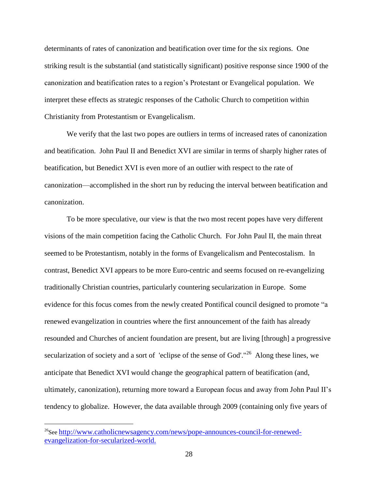determinants of rates of canonization and beatification over time for the six regions. One striking result is the substantial (and statistically significant) positive response since 1900 of the canonization and beatification rates to a region's Protestant or Evangelical population. We interpret these effects as strategic responses of the Catholic Church to competition within Christianity from Protestantism or Evangelicalism.

We verify that the last two popes are outliers in terms of increased rates of canonization and beatification. John Paul II and Benedict XVI are similar in terms of sharply higher rates of beatification, but Benedict XVI is even more of an outlier with respect to the rate of canonization—accomplished in the short run by reducing the interval between beatification and canonization.

To be more speculative, our view is that the two most recent popes have very different visions of the main competition facing the Catholic Church. For John Paul II, the main threat seemed to be Protestantism, notably in the forms of Evangelicalism and Pentecostalism. In contrast, Benedict XVI appears to be more Euro-centric and seems focused on re-evangelizing traditionally Christian countries, particularly countering secularization in Europe. Some evidence for this focus comes from the newly created Pontifical council designed to promote "a renewed evangelization in countries where the first announcement of the faith has already resounded and Churches of ancient foundation are present, but are living [through] a progressive secularization of society and a sort of 'eclipse of the sense of God'."<sup>26</sup> Along these lines, we anticipate that Benedict XVI would change the geographical pattern of beatification (and, ultimately, canonization), returning more toward a European focus and away from John Paul II's tendency to globalize. However, the data available through 2009 (containing only five years of

<sup>&</sup>lt;sup>26</sup>See http://www.catholicnewsagency.com/news/pope-announces-council-for-renewedevangelization-for-secularized-world.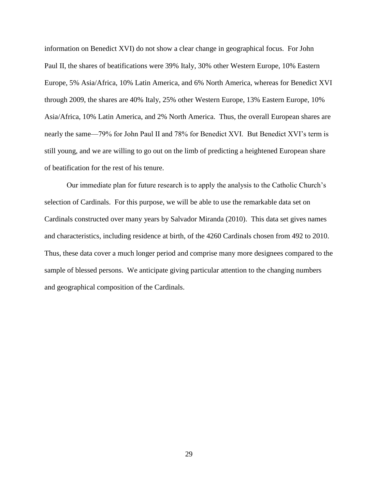information on Benedict XVI) do not show a clear change in geographical focus. For John Paul II, the shares of beatifications were 39% Italy, 30% other Western Europe, 10% Eastern Europe, 5% Asia/Africa, 10% Latin America, and 6% North America, whereas for Benedict XVI through 2009, the shares are 40% Italy, 25% other Western Europe, 13% Eastern Europe, 10% Asia/Africa, 10% Latin America, and 2% North America. Thus, the overall European shares are nearly the same—79% for John Paul II and 78% for Benedict XVI. But Benedict XVI's term is still young, and we are willing to go out on the limb of predicting a heightened European share of beatification for the rest of his tenure.

Our immediate plan for future research is to apply the analysis to the Catholic Church's selection of Cardinals. For this purpose, we will be able to use the remarkable data set on Cardinals constructed over many years by Salvador Miranda (2010). This data set gives names and characteristics, including residence at birth, of the 4260 Cardinals chosen from 492 to 2010. Thus, these data cover a much longer period and comprise many more designees compared to the sample of blessed persons. We anticipate giving particular attention to the changing numbers and geographical composition of the Cardinals.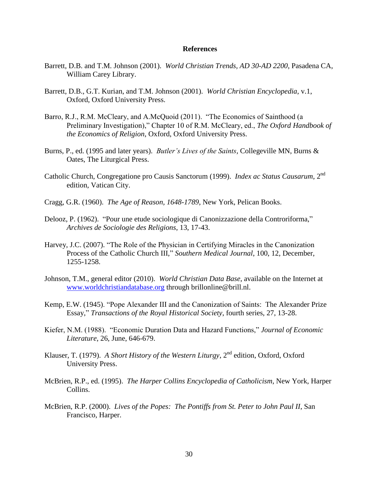#### **References**

- Barrett, D.B. and T.M. Johnson (2001). *World Christian Trends, AD 30-AD 2200*, Pasadena CA, William Carey Library.
- Barrett, D.B., G.T. Kurian, and T.M. Johnson (2001). *World Christian Encyclopedia*, v.1, Oxford, Oxford University Press.
- Barro, R.J., R.M. McCleary, and A.McQuoid (2011). "The Economics of Sainthood (a Preliminary Investigation)," Chapter 10 of R.M. McCleary, ed., *The Oxford Handbook of the Economics of Religion*, Oxford, Oxford University Press.
- Burns, P., ed. (1995 and later years). *Butler's Lives of the Saints*, Collegeville MN, Burns & Oates, The Liturgical Press.
- Catholic Church, Congregatione pro Causis Sanctorum (1999). *Index ac Status Causarum*, 2nd edition, Vatican City.
- Cragg, G.R. (1960). *The Age of Reason, 1648-1789*, New York, Pelican Books.
- Delooz, P. (1962). "Pour une etude sociologique di Canonizzazione della Controriforma," *Archives de Sociologie des Religions*, 13, 17-43.
- Harvey, J.C. (2007). "The Role of the Physician in Certifying Miracles in the Canonization Process of the Catholic Church III," Southern Medical Journal, 100, 12, December, 1255-1258.
- Johnson, T.M., general editor (2010). *World Christian Data Base*, available on the Internet at [www.worldchristiandatabase.org](http://www.worldchristiandatabase.org/) through brillonline@brill.nl.
- Kemp, E.W. (1945). "Pope Alexander III and the Canonization of Saints: The Alexander Prize Essay,‖ *Transactions of the Royal Historical Society*, fourth series, 27, 13-28.
- Kiefer, N.M. (1988). "Economic Duration Data and Hazard Functions," *Journal of Economic Literature*, 26, June, 646-679.
- Klauser, T. (1979). *A Short History of the Western Liturgy*, 2<sup>nd</sup> edition, Oxford, Oxford University Press.
- McBrien, R.P., ed. (1995). *The Harper Collins Encyclopedia of Catholicism*, New York, Harper Collins.
- McBrien, R.P. (2000). *Lives of the Popes: The Pontiffs from St. Peter to John Paul II*, San Francisco, Harper.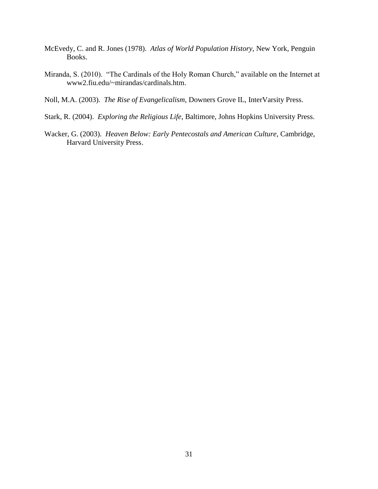- McEvedy, C. and R. Jones (1978). *Atlas of World Population History*, New York, Penguin Books.
- Miranda, S. (2010). "The Cardinals of the Holy Roman Church," available on the Internet at www2.fiu.edu/~mirandas/cardinals.htm.
- Noll, M.A. (2003). *The Rise of Evangelicalism*, Downers Grove IL, InterVarsity Press.
- Stark, R. (2004). *Exploring the Religious Life*, Baltimore, Johns Hopkins University Press.
- Wacker, G. (2003). *Heaven Below: Early Pentecostals and American Culture,* Cambridge, Harvard University Press.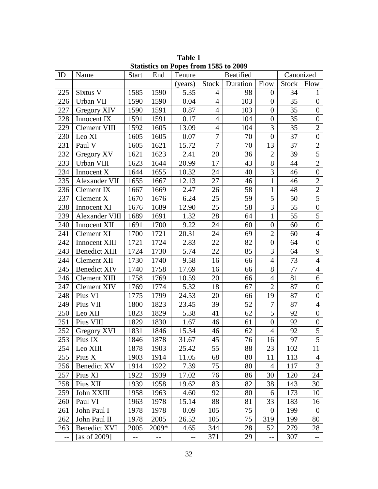| <b>Table 1</b>                               |                      |              |       |                   |                |                  |                  |              |                  |
|----------------------------------------------|----------------------|--------------|-------|-------------------|----------------|------------------|------------------|--------------|------------------|
| <b>Statistics on Popes from 1585 to 2009</b> |                      |              |       |                   |                |                  |                  |              |                  |
| ID                                           | Name                 | <b>Start</b> | End   | Tenure            |                | <b>Beatified</b> | Canonized        |              |                  |
|                                              |                      |              |       | (years)           | <b>Stock</b>   | Duration         | Flow             | <b>Stock</b> | Flow             |
| 225                                          | Sixtus V             | 1585         | 1590  | 5.35              | 4              | 98               | $\theta$         | 34           | 1                |
| 226                                          | Urban VII            | 1590         | 1590  | 0.04              | $\overline{4}$ | 103              | $\theta$         | 35           | $\boldsymbol{0}$ |
| 227                                          | Gregory XIV          | 1590         | 1591  | 0.87              | $\overline{4}$ | 103              | $\overline{0}$   | 35           | $\overline{0}$   |
| 228                                          | Innocent IX          | 1591         | 1591  | 0.17              | $\overline{4}$ | 104              | $\boldsymbol{0}$ | 35           | $\boldsymbol{0}$ |
| 229                                          | Clement VIII         | 1592         | 1605  | 13.09             | $\overline{4}$ | 104              | 3                | 35           | $\overline{2}$   |
| 230                                          | Leo XI               | 1605         | 1605  | 0.07              | 7              | 70               | $\overline{0}$   | 37           | $\overline{0}$   |
| 231                                          | Paul V               | 1605         | 1621  | 15.72             | $\overline{7}$ | 70               | 13               | 37           | $\overline{2}$   |
| 232                                          | Gregory XV           | 1621         | 1623  | 2.41              | 20             | 36               | $\overline{2}$   | 39           | $\overline{5}$   |
| 233                                          | Urban VIII           | 1623         | 1644  | 20.99             | 17             | 43               | 8                | 44           | $\overline{2}$   |
| 234                                          | Innocent X           | 1644         | 1655  | 10.32             | 24             | 40               | $\overline{3}$   | 46           | $\overline{0}$   |
| 235                                          | Alexander VII        | 1655         | 1667  | 12.13             | 27             | 46               | $\mathbf{1}$     | 46           | $\overline{2}$   |
| 236                                          | <b>Clement IX</b>    | 1667         | 1669  | 2.47              | 26             | 58               | $\mathbf{1}$     | 48           | $\overline{2}$   |
| 237                                          | Clement X            | 1670         | 1676  | 6.24              | 25             | 59               | 5                | 50           | 5                |
| 238                                          | Innocent XI          | 1676         | 1689  | 12.90             | 25             | 58               | 3                | 55           | $\boldsymbol{0}$ |
| 239                                          | Alexander VIII       | 1689         | 1691  | 1.32              | 28             | 64               | $\mathbf{1}$     | 55           | 5                |
| 240                                          | Innocent XII         | 1691         | 1700  | 9.22              | 24             | 60               | $\overline{0}$   | 60           | $\overline{0}$   |
| 241                                          | <b>Clement XI</b>    | 1700         | 1721  | 20.31             | 24             | 69               | $\overline{2}$   | 60           | $\overline{4}$   |
| 242                                          | Innocent XIII        | 1721         | 1724  | 2.83              | 22             | 82               | $\overline{0}$   | 64           | $\boldsymbol{0}$ |
| 243                                          | <b>Benedict XIII</b> | 1724         | 1730  | 5.74              | 22             | 85               | 3                | 64           | 9                |
| 244                                          | <b>Clement XII</b>   | 1730         | 1740  | 9.58              | 16             | 66               | $\overline{4}$   | 73           | $\overline{4}$   |
| 245                                          | <b>Benedict XIV</b>  | 1740         | 1758  | 17.69             | 16             | 66               | 8                | 77           | $\overline{4}$   |
| 246                                          | <b>Clement XIII</b>  | 1758         | 1769  | 10.59             | 20             | 66               | $\overline{4}$   | 81           | 6                |
| 247                                          | <b>Clement XIV</b>   | 1769         | 1774  | 5.32              | 18             | 67               | $\overline{2}$   | 87           | $\overline{0}$   |
| 248                                          | Pius VI              | 1775         | 1799  | 24.53             | 20             | 66               | 19               | 87           | $\overline{0}$   |
| 249                                          | Pius VII             | 1800         | 1823  | 23.45             | 39             | 52               | $\tau$           | 87           | $\overline{4}$   |
| 250                                          | Leo XII              | 1823         | 1829  | 5.38              | 41             | 62               | 5                | 92           | $\overline{0}$   |
| 251                                          | Pius VIII            | 1829         | 1830  | 1.67              | 46             | 61               | $\boldsymbol{0}$ | 92           | $\boldsymbol{0}$ |
| 252                                          | Gregory XVI          | 1831         | 1846  | 15.34             | 46             | 62               | $\overline{4}$   | 92           | $\mathcal{L}$    |
| 253                                          | Pius IX              | 1846         | 1878  | 31.67             | 45             | 76               | 16               | 97           | $\overline{5}$   |
| 254                                          | Leo XIII             | 1878         | 1903  | 25.42             | 55             | 88               | 23               | 102          | 11               |
| 255                                          | Pius X               | 1903         | 1914  | 11.05             | 68             | 80               | 11               | 113          | 4                |
| 256                                          | <b>Benedict XV</b>   | 1914         | 1922  | 7.39              | 75             | 80               | 4                | 117          | 3                |
| 257                                          | Pius XI              | 1922         | 1939  | 17.02             | 76             | 86               | 30               | 120          | 24               |
| 258                                          | Pius XII             | 1939         | 1958  | 19.62             | 83             | 82               | 38               | 143          | 30               |
| 259                                          | John XXIII           | 1958         | 1963  | 4.60              | 92             | 80               | 6                | 173          | 10               |
| 260                                          | Paul VI              | 1963         | 1978  | 15.14             | 88             | 81               | 33               | 183          | 16               |
| 261                                          | John Paul I          | 1978         | 1978  | 0.09              | 105            | 75               | $\theta$         | 199          | $\boldsymbol{0}$ |
| 262                                          | John Paul II         | 1978         | 2005  | 26.52             | 105            | 75               | 319              | 199          | 80               |
| 263                                          | <b>Benedict XVI</b>  | 2005         | 2009* | 4.65              | 344            | 28               | 52               | 279          | 28               |
| $-$                                          | [as of 2009]         | --           | $-$   | $\qquad \qquad -$ | 371            | 29               | --               | 307          | --               |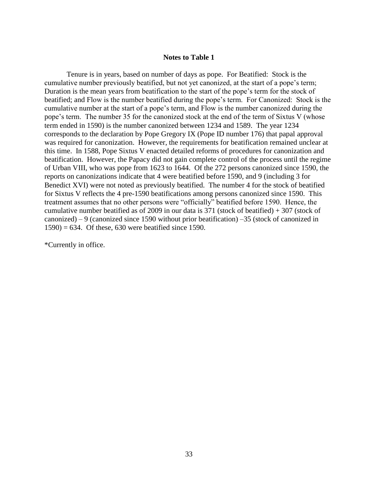#### **Notes to Table 1**

Tenure is in years, based on number of days as pope. For Beatified: Stock is the cumulative number previously beatified, but not yet canonized, at the start of a pope's term; Duration is the mean years from beatification to the start of the pope's term for the stock of beatified; and Flow is the number beatified during the pope's term. For Canonized: Stock is the cumulative number at the start of a pope's term, and Flow is the number canonized during the pope's term. The number 35 for the canonized stock at the end of the term of Sixtus V (whose term ended in 1590) is the number canonized between 1234 and 1589. The year 1234 corresponds to the declaration by Pope Gregory IX (Pope ID number 176) that papal approval was required for canonization. However, the requirements for beatification remained unclear at this time. In 1588, Pope Sixtus V enacted detailed reforms of procedures for canonization and beatification. However, the Papacy did not gain complete control of the process until the regime of Urban VIII, who was pope from 1623 to 1644. Of the 272 persons canonized since 1590, the reports on canonizations indicate that 4 were beatified before 1590, and 9 (including 3 for Benedict XVI) were not noted as previously beatified. The number 4 for the stock of beatified for Sixtus V reflects the 4 pre-1590 beatifications among persons canonized since 1590. This treatment assumes that no other persons were "officially" beatified before 1590. Hence, the cumulative number beatified as of 2009 in our data is 371 (stock of beatified) + 307 (stock of canonized) – 9 (canonized since 1590 without prior beatification) –35 (stock of canonized in  $1590$  = 634. Of these, 630 were beatified since 1590.

\*Currently in office.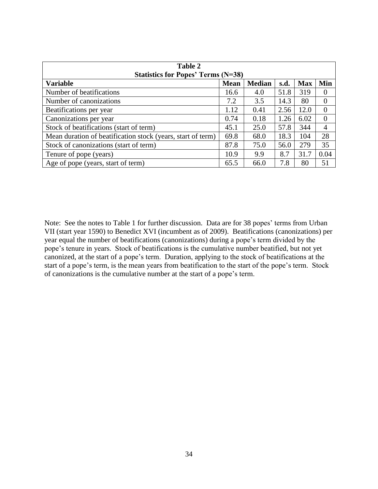| Table 2                                                     |             |               |      |            |                  |  |  |  |
|-------------------------------------------------------------|-------------|---------------|------|------------|------------------|--|--|--|
| <b>Statistics for Popes' Terms (N=38)</b>                   |             |               |      |            |                  |  |  |  |
| <b>Variable</b>                                             | <b>Mean</b> | <b>Median</b> | s.d. | <b>Max</b> | Min              |  |  |  |
| Number of beatifications                                    | 16.6        | 4.0           | 51.8 | 319        | $\theta$         |  |  |  |
| Number of canonizations                                     | 7.2         | 3.5           | 14.3 | 80         | $\overline{0}$   |  |  |  |
| Beatifications per year                                     | 1.12        | 0.41          | 2.56 | 12.0       | 0                |  |  |  |
| Canonizations per year                                      | 0.74        | 0.18          | 1.26 | 6.02       | $\boldsymbol{0}$ |  |  |  |
| Stock of beatifications (start of term)                     | 45.1        | 25.0          | 57.8 | 344        | 4                |  |  |  |
| Mean duration of beatification stock (years, start of term) | 69.8        | 68.0          | 18.3 | 104        | 28               |  |  |  |
| Stock of canonizations (start of term)                      | 87.8        | 75.0          | 56.0 | 279        | 35               |  |  |  |
| Tenure of pope (years)                                      | 10.9        | 9.9           | 8.7  | 31.7       | 0.04             |  |  |  |
| Age of pope (years, start of term)                          | 65.5        | 66.0          | 7.8  | 80         | 51               |  |  |  |

Note: See the notes to Table 1 for further discussion. Data are for 38 popes' terms from Urban VII (start year 1590) to Benedict XVI (incumbent as of 2009). Beatifications (canonizations) per year equal the number of beatifications (canonizations) during a pope's term divided by the pope's tenure in years. Stock of beatifications is the cumulative number beatified, but not yet canonized, at the start of a pope's term. Duration, applying to the stock of beatifications at the start of a pope's term, is the mean years from beatification to the start of the pope's term. Stock of canonizations is the cumulative number at the start of a pope's term.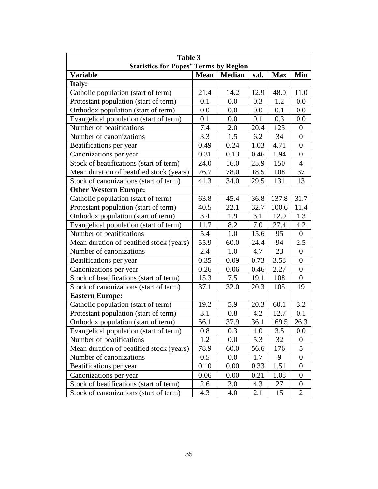| Table 3                                      |             |               |      |            |                  |  |  |  |
|----------------------------------------------|-------------|---------------|------|------------|------------------|--|--|--|
| <b>Statistics for Popes' Terms by Region</b> |             |               |      |            |                  |  |  |  |
| <b>Variable</b>                              | <b>Mean</b> | <b>Median</b> | s.d. | <b>Max</b> | Min              |  |  |  |
| Italy:                                       |             |               |      |            |                  |  |  |  |
| Catholic population (start of term)          | 21.4        | 14.2          | 12.9 | 48.0       | 11.0             |  |  |  |
| Protestant population (start of term)        | 0.1         | 0.0           | 0.3  | 1.2        | 0.0              |  |  |  |
| Orthodox population (start of term)          | 0.0         | 0.0           | 0.0  | 0.1        | 0.0              |  |  |  |
| Evangelical population (start of term)       | 0.1         | 0.0           | 0.1  | 0.3        | 0.0              |  |  |  |
| Number of beatifications                     | 7.4         | 2.0           | 20.4 | 125        | $\boldsymbol{0}$ |  |  |  |
| Number of canonizations                      | 3.3         | 1.5           | 6.2  | 34         | $\overline{0}$   |  |  |  |
| Beatifications per year                      | 0.49        | 0.24          | 1.03 | 4.71       | $\boldsymbol{0}$ |  |  |  |
| Canonizations per year                       | 0.31        | 0.13          | 0.46 | 1.94       | $\boldsymbol{0}$ |  |  |  |
| Stock of beatifications (start of term)      | 24.0        | 16.0          | 25.9 | 150        | $\overline{4}$   |  |  |  |
| Mean duration of beatified stock (years)     | 76.7        | 78.0          | 18.5 | 108        | 37               |  |  |  |
| Stock of canonizations (start of term)       | 41.3        | 34.0          | 29.5 | 131        | 13               |  |  |  |
| <b>Other Western Europe:</b>                 |             |               |      |            |                  |  |  |  |
| Catholic population (start of term)          | 63.8        | 45.4          | 36.8 | 137.8      | 31.7             |  |  |  |
| Protestant population (start of term)        | 40.5        | 22.1          | 32.7 | 100.6      | 11.4             |  |  |  |
| Orthodox population (start of term)          | 3.4         | 1.9           | 3.1  | 12.9       | 1.3              |  |  |  |
| Evangelical population (start of term)       | 11.7        | 8.2           | 7.0  | 27.4       | 4.2              |  |  |  |
| Number of beatifications                     | 5.4         | 1.0           | 15.6 | 95         | $\boldsymbol{0}$ |  |  |  |
| Mean duration of beatified stock (years)     | 55.9        | 60.0          | 24.4 | 94         | 2.5              |  |  |  |
| Number of canonizations                      | 2.4         | 1.0           | 4.7  | 23         | $\boldsymbol{0}$ |  |  |  |
| Beatifications per year                      | 0.35        | 0.09          | 0.73 | 3.58       | $\boldsymbol{0}$ |  |  |  |
| Canonizations per year                       | 0.26        | 0.06          | 0.46 | 2.27       | $\theta$         |  |  |  |
| Stock of beatifications (start of term)      | 15.3        | 7.5           | 19.1 | 108        | $\overline{0}$   |  |  |  |
| Stock of canonizations (start of term)       | 37.1        | 32.0          | 20.3 | 105        | 19               |  |  |  |
| <b>Eastern Europe:</b>                       |             |               |      |            |                  |  |  |  |
| Catholic population (start of term)          | 19.2        | 5.9           | 20.3 | 60.1       | 3.2              |  |  |  |
| Protestant population (start of term)        | 3.1         | 0.8           | 4.2  | 12.7       | 0.1              |  |  |  |
| Orthodox population (start of term)          | 56.1        | 37.9          | 36.1 | 169.5      | 26.3             |  |  |  |
| Evangelical population (start of term)       | $0.8\,$     | 0.3           | 1.0  | 3.5        | 0.0              |  |  |  |
| Number of beatifications                     | 1.2         | 0.0           | 5.3  | 32         | $\overline{0}$   |  |  |  |
| Mean duration of beatified stock (years)     | 78.9        | 60.0          | 56.6 | 176        | 5                |  |  |  |
| Number of canonizations                      | 0.5         | 0.0           | 1.7  | 9          | $\overline{0}$   |  |  |  |
| Beatifications per year                      | 0.10        | 0.00          | 0.33 | 1.51       | $\boldsymbol{0}$ |  |  |  |
| Canonizations per year                       | 0.06        | 0.00          | 0.21 | 1.08       | $\overline{0}$   |  |  |  |
| Stock of beatifications (start of term)      | 2.6         | 2.0           | 4.3  | 27         | $\boldsymbol{0}$ |  |  |  |
| Stock of canonizations (start of term)       | 4.3         | 4.0           | 2.1  | 15         | 2                |  |  |  |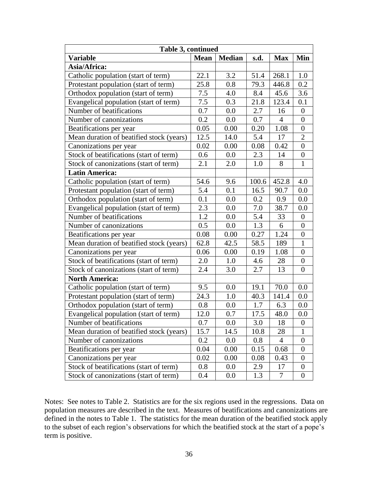| Table 3, continued                       |             |               |         |                  |                  |  |  |  |
|------------------------------------------|-------------|---------------|---------|------------------|------------------|--|--|--|
| <b>Variable</b>                          | <b>Mean</b> | <b>Median</b> | s.d.    | <b>Max</b>       | Min              |  |  |  |
| Asia/Africa:                             |             |               |         |                  |                  |  |  |  |
| Catholic population (start of term)      | 22.1        | 3.2           | 51.4    | 268.1            | $1.0\,$          |  |  |  |
| Protestant population (start of term)    | 25.8        | 0.8           | 79.3    | 446.8            | 0.2              |  |  |  |
| Orthodox population (start of term)      | 7.5         | 4.0           | 8.4     | 45.6             | 3.6              |  |  |  |
| Evangelical population (start of term)   | 7.5         | 0.3           | 21.8    | 123.4            | 0.1              |  |  |  |
| Number of beatifications                 | 0.7         | 0.0           | 2.7     | 16               | $\boldsymbol{0}$ |  |  |  |
| Number of canonizations                  | 0.2         | 0.0           | 0.7     | $\overline{4}$   | $\overline{0}$   |  |  |  |
| Beatifications per year                  | 0.05        | 0.00          | 0.20    | 1.08             | $\boldsymbol{0}$ |  |  |  |
| Mean duration of beatified stock (years) | 12.5        | 14.0          | 5.4     | 17               | $\mathbf{2}$     |  |  |  |
| Canonizations per year                   | 0.02        | 0.00          | 0.08    | 0.42             | $\boldsymbol{0}$ |  |  |  |
| Stock of beatifications (start of term)  | 0.6         | 0.0           | 2.3     | 14               | $\boldsymbol{0}$ |  |  |  |
| Stock of canonizations (start of term)   | 2.1         | 2.0           | 1.0     | 8                | $\mathbf{1}$     |  |  |  |
| <b>Latin America:</b>                    |             |               |         |                  |                  |  |  |  |
| Catholic population (start of term)      | 54.6        | 9.6           | 100.6   | 452.8            | 4.0              |  |  |  |
| Protestant population (start of term)    | 5.4         | 0.1           | 16.5    | 90.7             | 0.0              |  |  |  |
| Orthodox population (start of term)      | 0.1         | 0.0           | 0.2     | 0.9              | 0.0              |  |  |  |
| Evangelical population (start of term)   | 2.3         | 0.0           | 7.0     | 38.7             | 0.0              |  |  |  |
| Number of beatifications                 | 1.2         | 0.0           | 5.4     | 33               | $\boldsymbol{0}$ |  |  |  |
| Number of canonizations                  | 0.5         | 0.0           | 1.3     | 6                | $\boldsymbol{0}$ |  |  |  |
| Beatifications per year                  | 0.08        | 0.00          | 0.27    | 1.24             | $\boldsymbol{0}$ |  |  |  |
| Mean duration of beatified stock (years) | 62.8        | 42.5          | 58.5    | 189              | $\mathbf{1}$     |  |  |  |
| Canonizations per year                   | 0.06        | 0.00          | 0.19    | 1.08             | $\boldsymbol{0}$ |  |  |  |
| Stock of beatifications (start of term)  | 2.0         | 1.0           | 4.6     | 28               | $\boldsymbol{0}$ |  |  |  |
| Stock of canonizations (start of term)   | 2.4         | 3.0           | 2.7     | 13               | $\boldsymbol{0}$ |  |  |  |
| <b>North America:</b>                    |             |               |         |                  |                  |  |  |  |
| Catholic population (start of term)      | 9.5         | 0.0           | 19.1    | 70.0             | 0.0              |  |  |  |
| Protestant population (start of term)    | 24.3        | 1.0           | 40.3    | 141.4            | 0.0              |  |  |  |
| Orthodox population (start of term)      | 0.8         | 0.0           | 1.7     | $6.\overline{3}$ | 0.0              |  |  |  |
| Evangelical population (start of term)   | 12.0        | 0.7           | 17.5    | 48.0             | 0.0              |  |  |  |
| Number of beatifications                 | 0.7         | 0.0           | 3.0     | 18               | 0                |  |  |  |
| Mean duration of beatified stock (years) | 15.7        | 14.5          | 10.8    | 28               | 1                |  |  |  |
| Number of canonizations                  | 0.2         | $0.0\,$       | $0.8\,$ | 4                | $\overline{0}$   |  |  |  |
| Beatifications per year                  | 0.04        | 0.00          | 0.15    | 0.68             | $\boldsymbol{0}$ |  |  |  |
| Canonizations per year                   | 0.02        | 0.00          | 0.08    | 0.43             | $\boldsymbol{0}$ |  |  |  |
| Stock of beatifications (start of term)  | 0.8         | $0.0\,$       | 2.9     | 17               | $\boldsymbol{0}$ |  |  |  |
| Stock of canonizations (start of term)   | 0.4         | $0.0\,$       | 1.3     | $\tau$           | $\boldsymbol{0}$ |  |  |  |

Notes: See notes to Table 2. Statistics are for the six regions used in the regressions. Data on population measures are described in the text. Measures of beatifications and canonizations are defined in the notes to Table 1. The statistics for the mean duration of the beatified stock apply to the subset of each region's observations for which the beatified stock at the start of a pope's term is positive.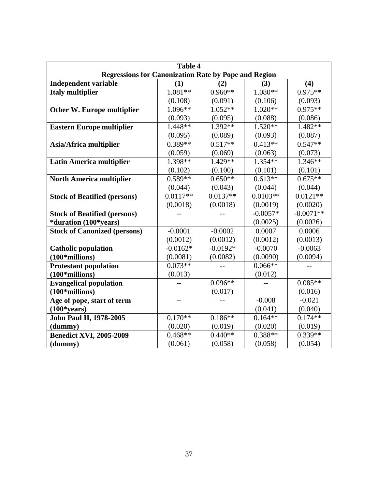| <b>Table 4</b>                                              |            |            |            |             |  |  |  |  |
|-------------------------------------------------------------|------------|------------|------------|-------------|--|--|--|--|
| <b>Regressions for Canonization Rate by Pope and Region</b> |            |            |            |             |  |  |  |  |
| <b>Independent variable</b>                                 | (1)        | (2)        | (3)        | (4)         |  |  |  |  |
| <b>Italy multiplier</b>                                     | $1.081**$  | $0.960**$  | $1.080**$  | $0.975**$   |  |  |  |  |
|                                                             | (0.108)    | (0.091)    | (0.106)    | (0.093)     |  |  |  |  |
| Other W. Europe multiplier                                  | $1.096**$  | $1.052**$  | $1.020**$  | $0.975**$   |  |  |  |  |
|                                                             | (0.093)    | (0.095)    | (0.088)    | (0.086)     |  |  |  |  |
| <b>Eastern Europe multiplier</b>                            | 1.448**    | 1.392**    | $1.520**$  | $1.482**$   |  |  |  |  |
|                                                             | (0.095)    | (0.089)    | (0.093)    | (0.087)     |  |  |  |  |
| Asia/Africa multiplier                                      | $0.389**$  | $0.517**$  | $0.413**$  | $0.547**$   |  |  |  |  |
|                                                             | (0.059)    | (0.069)    | (0.063)    | (0.073)     |  |  |  |  |
| <b>Latin America multiplier</b>                             | 1.398**    | 1.429**    | $1.354**$  | $1.346**$   |  |  |  |  |
|                                                             | (0.102)    | (0.100)    | (0.101)    | (0.101)     |  |  |  |  |
| <b>North America multiplier</b>                             | $0.589**$  | $0.650**$  | $0.613**$  | $0.675**$   |  |  |  |  |
|                                                             | (0.044)    | (0.043)    | (0.044)    | (0.044)     |  |  |  |  |
| <b>Stock of Beatified (persons)</b>                         | $0.0117**$ | $0.0137**$ | $0.0103**$ | $0.0121**$  |  |  |  |  |
|                                                             | (0.0018)   | (0.0018)   | (0.0019)   | (0.0020)    |  |  |  |  |
| <b>Stock of Beatified (persons)</b>                         |            |            | $-0.0057*$ | $-0.0071**$ |  |  |  |  |
| *duration (100*years)                                       |            |            | (0.0025)   | (0.0026)    |  |  |  |  |
| <b>Stock of Canonized (persons)</b>                         | $-0.0001$  | $-0.0002$  | 0.0007     | 0.0006      |  |  |  |  |
|                                                             | (0.0012)   | (0.0012)   | (0.0012)   | (0.0013)    |  |  |  |  |
| <b>Catholic population</b>                                  | $-0.0162*$ | $-0.0192*$ | $-0.0070$  | $-0.0063$   |  |  |  |  |
| $(100*$ millions)                                           | (0.0081)   | (0.0082)   | (0.0090)   | (0.0094)    |  |  |  |  |
| <b>Protestant population</b>                                | $0.073**$  |            | $0.066**$  |             |  |  |  |  |
| $(100*$ millions)                                           | (0.013)    |            | (0.012)    |             |  |  |  |  |
| <b>Evangelical population</b>                               |            | $0.096**$  |            | $0.085**$   |  |  |  |  |
| $(100*$ millions)                                           |            | (0.017)    |            | (0.016)     |  |  |  |  |
| Age of pope, start of term                                  |            |            | $-0.008$   | $-0.021$    |  |  |  |  |
| $(100*years)$                                               |            |            | (0.041)    | (0.040)     |  |  |  |  |
| <b>John Paul II, 1978-2005</b>                              | $0.170**$  | $0.186**$  | $0.164**$  | $0.174**$   |  |  |  |  |
| (dummy)                                                     | (0.020)    | (0.019)    | (0.020)    | (0.019)     |  |  |  |  |
| <b>Benedict XVI, 2005-2009</b>                              | $0.468**$  | $0.440**$  | 0.388**    | $0.339**$   |  |  |  |  |
| (dummy)                                                     | (0.061)    | (0.058)    | (0.058)    | (0.054)     |  |  |  |  |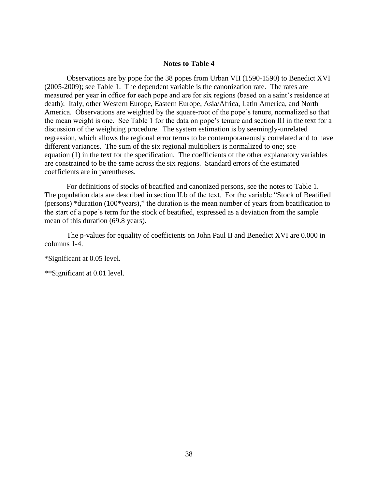#### **Notes to Table 4**

Observations are by pope for the 38 popes from Urban VII (1590-1590) to Benedict XVI (2005-2009); see Table 1. The dependent variable is the canonization rate. The rates are measured per year in office for each pope and are for six regions (based on a saint's residence at death): Italy, other Western Europe, Eastern Europe, Asia/Africa, Latin America, and North America. Observations are weighted by the square-root of the pope's tenure, normalized so that the mean weight is one. See Table 1 for the data on pope's tenure and section III in the text for a discussion of the weighting procedure. The system estimation is by seemingly-unrelated regression, which allows the regional error terms to be contemporaneously correlated and to have different variances. The sum of the six regional multipliers is normalized to one; see equation (1) in the text for the specification. The coefficients of the other explanatory variables are constrained to be the same across the six regions. Standard errors of the estimated coefficients are in parentheses.

For definitions of stocks of beatified and canonized persons, see the notes to Table 1. The population data are described in section II.b of the text. For the variable "Stock of Beatified (persons) \*duration (100\*years)," the duration is the mean number of years from beatification to the start of a pope's term for the stock of beatified, expressed as a deviation from the sample mean of this duration (69.8 years).

The p-values for equality of coefficients on John Paul II and Benedict XVI are 0.000 in columns 1-4.

\*Significant at 0.05 level.

\*\*Significant at 0.01 level.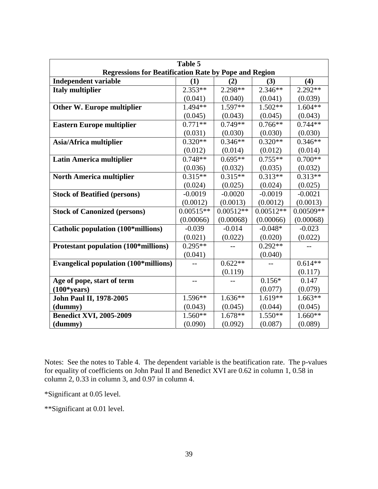| Table 5                                                      |             |             |             |             |  |  |  |
|--------------------------------------------------------------|-------------|-------------|-------------|-------------|--|--|--|
| <b>Regressions for Beatification Rate by Pope and Region</b> |             |             |             |             |  |  |  |
| <b>Independent variable</b>                                  | (1)         | (2)         | (3)         | (4)         |  |  |  |
| <b>Italy multiplier</b>                                      | $2.353**$   | 2.298**     | $2.346**$   | $2.292**$   |  |  |  |
|                                                              | (0.041)     | (0.040)     | (0.041)     | (0.039)     |  |  |  |
| <b>Other W. Europe multiplier</b>                            | 1.494**     | $1.597**$   | $1.502**$   | $1.604**$   |  |  |  |
|                                                              | (0.045)     | (0.043)     | (0.045)     | (0.043)     |  |  |  |
| <b>Eastern Europe multiplier</b>                             | $0.771**$   | $0.749**$   | $0.766**$   | $0.744**$   |  |  |  |
|                                                              | (0.031)     | (0.030)     | (0.030)     | (0.030)     |  |  |  |
| Asia/Africa multiplier                                       | $0.320**$   | $0.346**$   | $0.320**$   | $0.346**$   |  |  |  |
|                                                              | (0.012)     | (0.014)     | (0.012)     | (0.014)     |  |  |  |
| <b>Latin America multiplier</b>                              | $0.748**$   | $0.695**$   | $0.755**$   | $0.700**$   |  |  |  |
|                                                              | (0.036)     | (0.032)     | (0.035)     | (0.032)     |  |  |  |
| <b>North America multiplier</b>                              | $0.315**$   | $0.315**$   | $0.313**$   | $0.313**$   |  |  |  |
|                                                              | (0.024)     | (0.025)     | (0.024)     | (0.025)     |  |  |  |
| <b>Stock of Beatified (persons)</b>                          | $-0.0019$   | $-0.0020$   | $-0.0019$   | $-0.0021$   |  |  |  |
|                                                              | (0.0012)    | (0.0013)    | (0.0012)    | (0.0013)    |  |  |  |
| <b>Stock of Canonized (persons)</b>                          | $0.00515**$ | $0.00512**$ | $0.00512**$ | $0.00509**$ |  |  |  |
|                                                              | (0.00066)   | (0.00068)   | (0.00066)   | (0.00068)   |  |  |  |
| Catholic population (100*millions)                           | $-0.039$    | $-0.014$    | $-0.048*$   | $-0.023$    |  |  |  |
|                                                              | (0.021)     | (0.022)     | (0.020)     | (0.022)     |  |  |  |
| Protestant population (100*millions)                         | $0.295**$   |             | $0.292**$   |             |  |  |  |
|                                                              | (0.041)     |             | (0.040)     |             |  |  |  |
| <b>Evangelical population (100*millions)</b>                 |             | $0.622**$   |             | $0.614**$   |  |  |  |
|                                                              |             | (0.119)     |             | (0.117)     |  |  |  |
| Age of pope, start of term                                   |             |             | $0.156*$    | 0.147       |  |  |  |
| $(100*years)$                                                |             |             | (0.077)     | (0.079)     |  |  |  |
| <b>John Paul II, 1978-2005</b>                               | 1.596**     | $1.636**$   | $1.619**$   | $1.663**$   |  |  |  |
| (dummy)                                                      | (0.043)     | (0.045)     | (0.044)     | (0.045)     |  |  |  |
| <b>Benedict XVI, 2005-2009</b>                               | $1.560**$   | 1.678**     | 1.550**     | $1.660**$   |  |  |  |
| (dummy)                                                      | (0.090)     | (0.092)     | (0.087)     | (0.089)     |  |  |  |

Notes: See the notes to Table 4. The dependent variable is the beatification rate. The p-values for equality of coefficients on John Paul II and Benedict XVI are 0.62 in column 1, 0.58 in column 2, 0.33 in column 3, and 0.97 in column 4.

\*Significant at 0.05 level.

\*\*Significant at 0.01 level.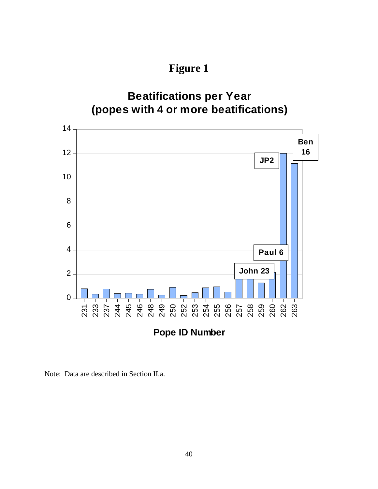**Figure 1**



Note: Data are described in Section II.a.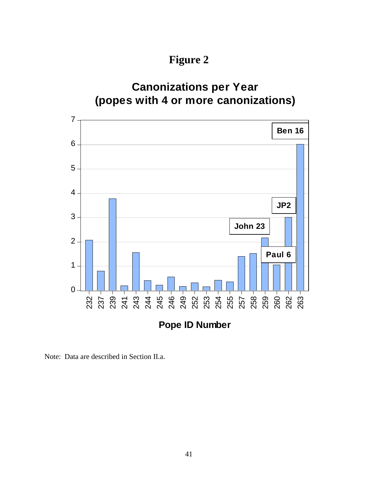**Figure 2**



Note: Data are described in Section II.a.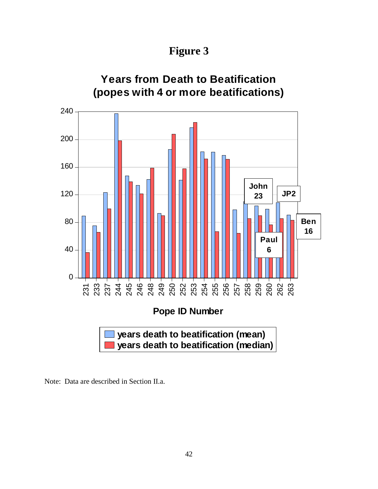**Figure 3**



Note: Data are described in Section II.a.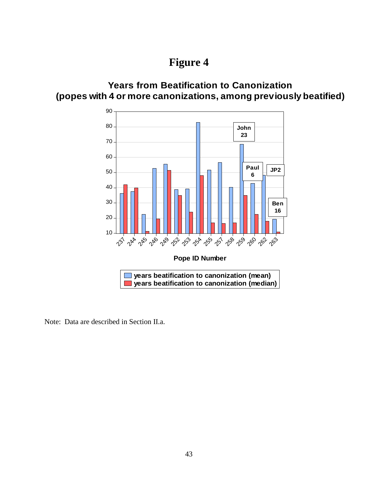### **Years from Beatification to Canonization (popes with 4 or more canonizations, among previously beatified)**



Note: Data are described in Section II.a.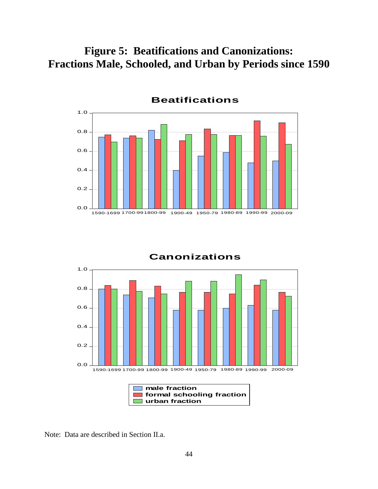**Figure 5: Beatifications and Canonizations: Fractions Male, Schooled, and Urban by Periods since 1590**



**Canonizations**1.0 0.8 0.6 0.4 0.2 0.0 1590-1699 1700-99 1800-99 1900-49 1950-79 1980-89 1990-99 2000-09 **male fraction** m. **formal schooling fraction urban fraction**

Note: Data are described in Section II.a.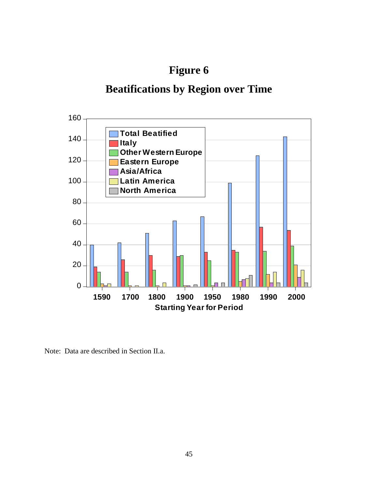# **Beatifications by Region over Time**



Note: Data are described in Section II.a.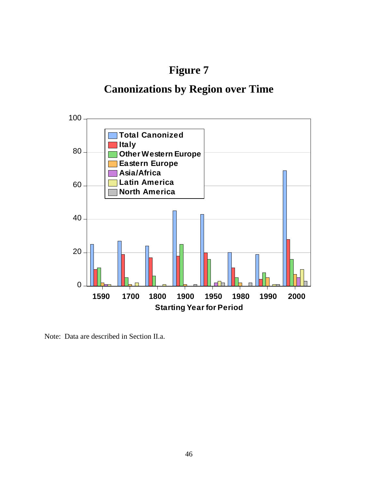# **Canonizations by Region over Time**



Note: Data are described in Section II.a.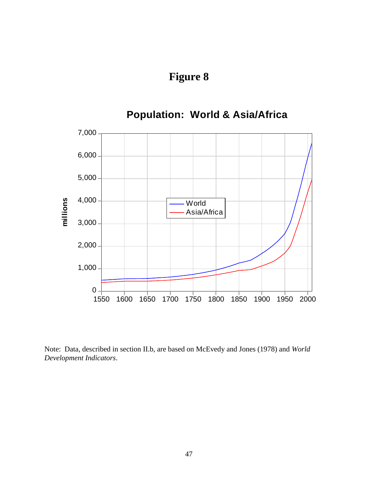

Note: Data, described in section II.b, are based on McEvedy and Jones (1978) and *World Development Indicators*.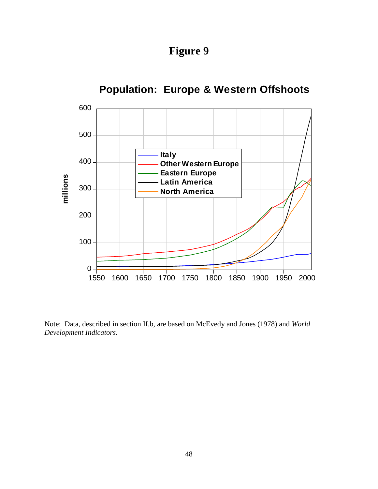**Figure 9**



Note: Data, described in section II.b, are based on McEvedy and Jones (1978) and *World Development Indicators*.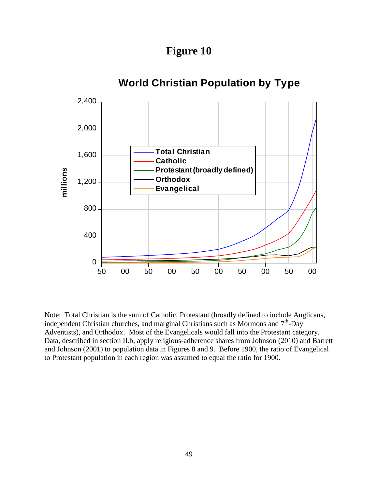**Figure 10**



Note: Total Christian is the sum of Catholic, Protestant (broadly defined to include Anglicans, independent Christian churches, and marginal Christians such as Mormons and  $7<sup>th</sup>$ -Day Adventists), and Orthodox. Most of the Evangelicals would fall into the Protestant category. Data, described in section II.b, apply religious-adherence shares from Johnson (2010) and Barrett and Johnson (2001) to population data in Figures 8 and 9. Before 1900, the ratio of Evangelical to Protestant population in each region was assumed to equal the ratio for 1900.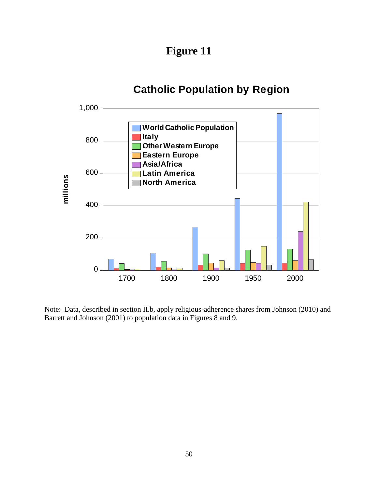**Figure 11**

## **Catholic Population by Region**



Note: Data, described in section II.b, apply religious-adherence shares from Johnson (2010) and Barrett and Johnson (2001) to population data in Figures 8 and 9.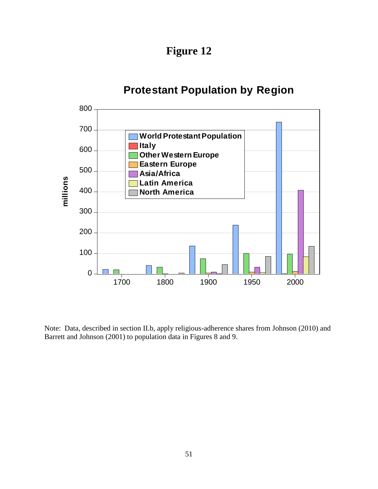**Figure 12**

### **Protestant Population by Region**



Note: Data, described in section II.b, apply religious-adherence shares from Johnson (2010) and Barrett and Johnson (2001) to population data in Figures 8 and 9.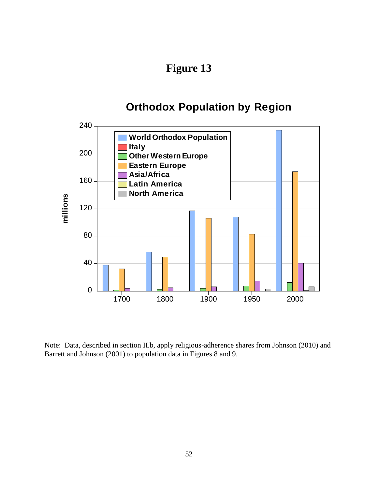### **Orthodox Population by Region**



Note: Data, described in section II.b, apply religious-adherence shares from Johnson (2010) and Barrett and Johnson (2001) to population data in Figures 8 and 9.